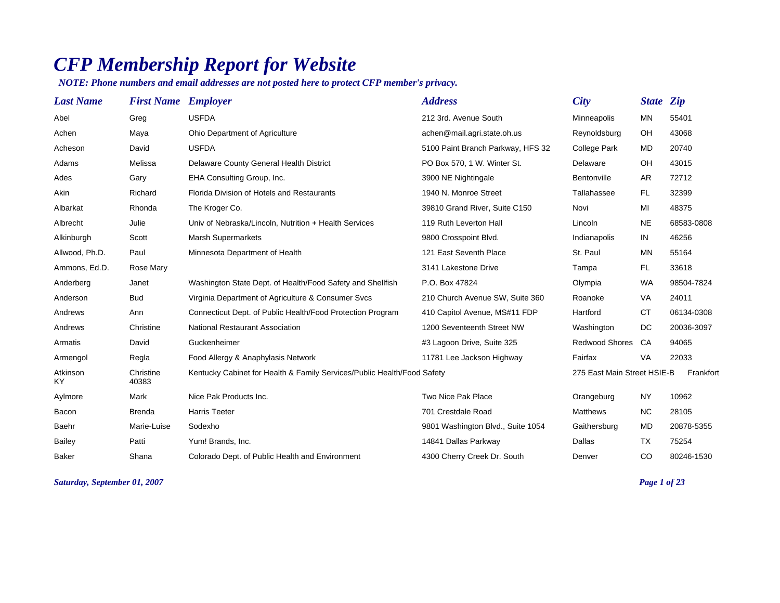## *CFP Membership Report for Website*

*NOTE: Phone numbers and email addresses are not posted here to protect CFP member's privacy.*

| <b>Last Name</b>      | <b>First Name Employer</b> |                                                                         | <b>Address</b>                    | <b>City</b>                 | State <i>Zip</i> |            |
|-----------------------|----------------------------|-------------------------------------------------------------------------|-----------------------------------|-----------------------------|------------------|------------|
| Abel                  | Greg                       | <b>USFDA</b>                                                            | 212 3rd. Avenue South             | Minneapolis                 | <b>MN</b>        | 55401      |
| Achen                 | Maya                       | Ohio Department of Agriculture                                          | achen@mail.agri.state.oh.us       | Reynoldsburg                | OH               | 43068      |
| Acheson               | David                      | <b>USFDA</b>                                                            | 5100 Paint Branch Parkway, HFS 32 | <b>College Park</b>         | <b>MD</b>        | 20740      |
| Adams                 | Melissa                    | Delaware County General Health District                                 | PO Box 570, 1 W. Winter St.       | Delaware                    | OH               | 43015      |
| Ades                  | Gary                       | EHA Consulting Group, Inc.                                              | 3900 NE Nightingale               | Bentonville                 | AR               | 72712      |
| Akin                  | Richard                    | Florida Division of Hotels and Restaurants                              | 1940 N. Monroe Street             | Tallahassee                 | FL.              | 32399      |
| Albarkat              | Rhonda                     | The Kroger Co.                                                          | 39810 Grand River, Suite C150     | Novi                        | MI               | 48375      |
| Albrecht              | Julie                      | Univ of Nebraska/Lincoln, Nutrition + Health Services                   | 119 Ruth Leverton Hall            | Lincoln                     | <b>NE</b>        | 68583-0808 |
| Alkinburgh            | Scott                      | <b>Marsh Supermarkets</b>                                               | 9800 Crosspoint Blvd.             | Indianapolis                | IN               | 46256      |
| Allwood, Ph.D.        | Paul                       | Minnesota Department of Health                                          | 121 East Seventh Place            | St. Paul                    | <b>MN</b>        | 55164      |
| Ammons, Ed.D.         | Rose Mary                  |                                                                         | 3141 Lakestone Drive              | Tampa                       | FL.              | 33618      |
| Anderberg             | Janet                      | Washington State Dept. of Health/Food Safety and Shellfish              | P.O. Box 47824                    | Olympia                     | <b>WA</b>        | 98504-7824 |
| Anderson              | <b>Bud</b>                 | Virginia Department of Agriculture & Consumer Svcs                      | 210 Church Avenue SW, Suite 360   | Roanoke                     | <b>VA</b>        | 24011      |
| Andrews               | Ann                        | Connecticut Dept. of Public Health/Food Protection Program              | 410 Capitol Avenue, MS#11 FDP     | Hartford                    | <b>CT</b>        | 06134-0308 |
| Andrews               | Christine                  | <b>National Restaurant Association</b>                                  | 1200 Seventeenth Street NW        | Washington                  | DC               | 20036-3097 |
| Armatis               | David                      | Guckenheimer                                                            | #3 Lagoon Drive, Suite 325        | Redwood Shores              | CA               | 94065      |
| Armengol              | Regla                      | Food Allergy & Anaphylasis Network                                      | 11781 Lee Jackson Highway         | Fairfax                     | VA               | 22033      |
| Atkinson<br><b>KY</b> | Christine<br>40383         | Kentucky Cabinet for Health & Family Services/Public Health/Food Safety |                                   | 275 East Main Street HSIE-B |                  | Frankfort  |
| Aylmore               | Mark                       | Nice Pak Products Inc.                                                  | Two Nice Pak Place                | Orangeburg                  | <b>NY</b>        | 10962      |
| Bacon                 | <b>Brenda</b>              | <b>Harris Teeter</b>                                                    | 701 Crestdale Road                | <b>Matthews</b>             | <b>NC</b>        | 28105      |
| Baehr                 | Marie-Luise                | Sodexho                                                                 | 9801 Washington Blvd., Suite 1054 | Gaithersburg                | MD               | 20878-5355 |
| <b>Bailey</b>         | Patti                      | Yum! Brands, Inc.                                                       | 14841 Dallas Parkway              | Dallas                      | <b>TX</b>        | 75254      |
| <b>Baker</b>          | Shana                      | Colorado Dept. of Public Health and Environment                         | 4300 Cherry Creek Dr. South       | Denver                      | <b>CO</b>        | 80246-1530 |

*Saturday, September 01, 2007 Page 1 of 23*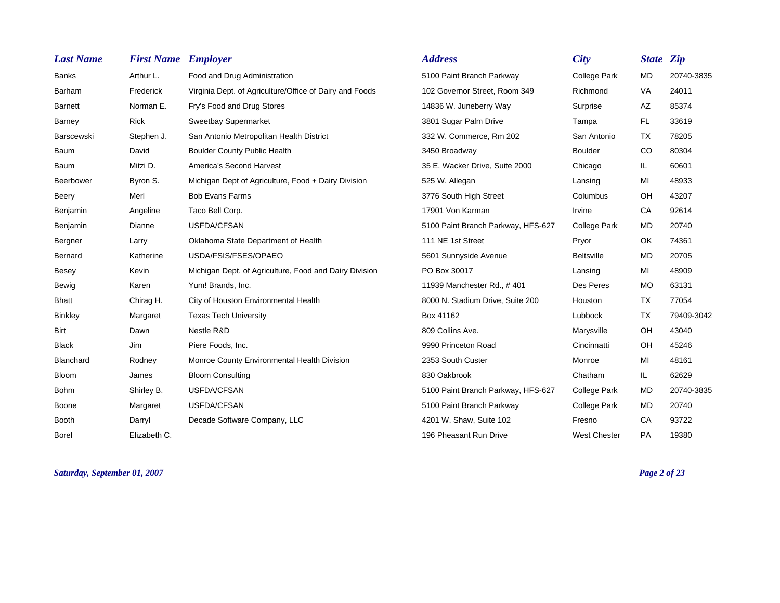| <b>Last Name</b> | <b>First Name Employer</b> |                                                         | <b>Address</b>                     | City                | State <i>Zip</i> |            |
|------------------|----------------------------|---------------------------------------------------------|------------------------------------|---------------------|------------------|------------|
| <b>Banks</b>     | Arthur L.                  | Food and Drug Administration                            | 5100 Paint Branch Parkway          | College Park        | MD               | 20740-3835 |
| Barham           | Frederick                  | Virginia Dept. of Agriculture/Office of Dairy and Foods | 102 Governor Street, Room 349      | Richmond            | VA               | 24011      |
| <b>Barnett</b>   | Norman E.                  | Fry's Food and Drug Stores                              | 14836 W. Juneberry Way             | Surprise            | AZ               | 85374      |
| Barney           | <b>Rick</b>                | Sweetbay Supermarket                                    | 3801 Sugar Palm Drive              | Tampa               | FL.              | 33619      |
| Barscewski       | Stephen J.                 | San Antonio Metropolitan Health District                | 332 W. Commerce, Rm 202            | San Antonio         | <b>TX</b>        | 78205      |
| Baum             | David                      | <b>Boulder County Public Health</b>                     | 3450 Broadway                      | <b>Boulder</b>      | CO               | 80304      |
| Baum             | Mitzi D.                   | <b>America's Second Harvest</b>                         | 35 E. Wacker Drive, Suite 2000     | Chicago             | IL.              | 60601      |
| Beerbower        | Byron S.                   | Michigan Dept of Agriculture, Food + Dairy Division     | 525 W. Allegan                     | Lansing             | MI               | 48933      |
| Beery            | Merl                       | <b>Bob Evans Farms</b>                                  | 3776 South High Street             | Columbus            | OH               | 43207      |
| Benjamin         | Angeline                   | Taco Bell Corp.                                         | 17901 Von Karman                   | Irvine              | CA               | 92614      |
| Benjamin         | Dianne                     | USFDA/CFSAN                                             | 5100 Paint Branch Parkway, HFS-627 | College Park        | <b>MD</b>        | 20740      |
| Bergner          | Larry                      | Oklahoma State Department of Health                     | 111 NE 1st Street                  | Pryor               | OK               | 74361      |
| Bernard          | Katherine                  | USDA/FSIS/FSES/OPAEO                                    | 5601 Sunnyside Avenue              | <b>Beltsville</b>   | <b>MD</b>        | 20705      |
| <b>Besey</b>     | Kevin                      | Michigan Dept. of Agriculture, Food and Dairy Division  | PO Box 30017                       | Lansing             | MI               | 48909      |
| Bewig            | Karen                      | Yum! Brands, Inc.                                       | 11939 Manchester Rd., #401         | Des Peres           | <b>MO</b>        | 63131      |
| <b>Bhatt</b>     | Chirag H.                  | City of Houston Environmental Health                    | 8000 N. Stadium Drive, Suite 200   | Houston             | <b>TX</b>        | 77054      |
| <b>Binkley</b>   | Margaret                   | <b>Texas Tech University</b>                            | Box 41162                          | Lubbock             | TX               | 79409-3042 |
| Birt             | Dawn                       | Nestle R&D                                              | 809 Collins Ave.                   | Marysville          | OH               | 43040      |
| <b>Black</b>     | Jim                        | Piere Foods, Inc.                                       | 9990 Princeton Road                | Cincinnatti         | OH               | 45246      |
| Blanchard        | Rodney                     | Monroe County Environmental Health Division             | 2353 South Custer                  | Monroe              | MI               | 48161      |
| <b>Bloom</b>     | James                      | <b>Bloom Consulting</b>                                 | 830 Oakbrook                       | Chatham             | IL.              | 62629      |
| <b>Bohm</b>      | Shirley B.                 | USFDA/CFSAN                                             | 5100 Paint Branch Parkway, HFS-627 | College Park        | <b>MD</b>        | 20740-3835 |
| Boone            | Margaret                   | USFDA/CFSAN                                             | 5100 Paint Branch Parkway          | College Park        | MD               | 20740      |
| <b>Booth</b>     | Darryl                     | Decade Software Company, LLC                            | 4201 W. Shaw, Suite 102            | Fresno              | CA               | 93722      |
| <b>Borel</b>     | Elizabeth C.               |                                                         | 196 Pheasant Run Drive             | <b>West Chester</b> | PA               | 19380      |

*Saturday, September 01, 2007 Page 2 of 23*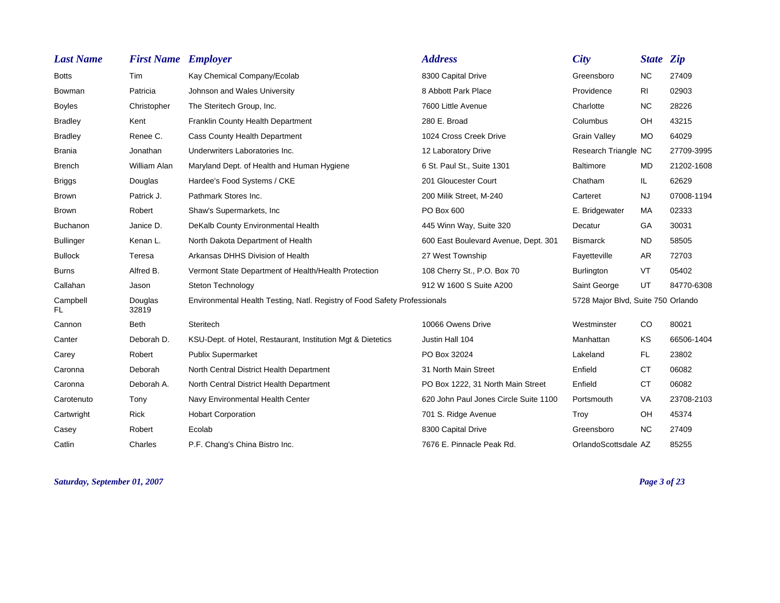| <b>Last Name</b> | <b>First Name Employer</b> |                                                                           | <b>Address</b>                        | <b>City</b>                        | State <i>Zip</i> |            |
|------------------|----------------------------|---------------------------------------------------------------------------|---------------------------------------|------------------------------------|------------------|------------|
| <b>Botts</b>     | Tim                        | Kay Chemical Company/Ecolab                                               | 8300 Capital Drive                    | Greensboro                         | <b>NC</b>        | 27409      |
| <b>Bowman</b>    | Patricia                   | Johnson and Wales University                                              | 8 Abbott Park Place                   | Providence                         | <b>RI</b>        | 02903      |
| <b>Boyles</b>    | Christopher                | The Steritech Group, Inc.                                                 | 7600 Little Avenue                    | Charlotte                          | <b>NC</b>        | 28226      |
| <b>Bradley</b>   | Kent                       | Franklin County Health Department                                         | 280 E. Broad                          | Columbus                           | OH               | 43215      |
| <b>Bradley</b>   | Renee C.                   | <b>Cass County Health Department</b>                                      | 1024 Cross Creek Drive                | <b>Grain Valley</b>                | <b>MO</b>        | 64029      |
| <b>Brania</b>    | Jonathan                   | Underwriters Laboratories Inc.                                            | 12 Laboratory Drive                   | Research Triangle NC               |                  | 27709-3995 |
| <b>Brench</b>    | William Alan               | Maryland Dept. of Health and Human Hygiene                                | 6 St. Paul St., Suite 1301            | Baltimore                          | <b>MD</b>        | 21202-1608 |
| <b>Briggs</b>    | Douglas                    | Hardee's Food Systems / CKE                                               | 201 Gloucester Court                  | Chatham                            | IL.              | 62629      |
| <b>Brown</b>     | Patrick J.                 | Pathmark Stores Inc.                                                      | 200 Milik Street, M-240               | Carteret                           | <b>NJ</b>        | 07008-1194 |
| <b>Brown</b>     | Robert                     | Shaw's Supermarkets, Inc.                                                 | PO Box 600                            | E. Bridgewater                     | MA               | 02333      |
| Buchanon         | Janice D.                  | DeKalb County Environmental Health                                        | 445 Winn Way, Suite 320               | Decatur                            | GA               | 30031      |
| <b>Bullinger</b> | Kenan L.                   | North Dakota Department of Health                                         | 600 East Boulevard Avenue, Dept. 301  | <b>Bismarck</b>                    | <b>ND</b>        | 58505      |
| <b>Bullock</b>   | Teresa                     | Arkansas DHHS Division of Health                                          | 27 West Township                      | Fayetteville                       | AR               | 72703      |
| <b>Burns</b>     | Alfred B.                  | Vermont State Department of Health/Health Protection                      | 108 Cherry St., P.O. Box 70           | <b>Burlington</b>                  | <b>VT</b>        | 05402      |
| Callahan         | Jason                      | Steton Technology                                                         | 912 W 1600 S Suite A200               | Saint George                       | UT               | 84770-6308 |
| Campbell<br>FL.  | Douglas<br>32819           | Environmental Health Testing, Natl. Registry of Food Safety Professionals |                                       | 5728 Major Blvd, Suite 750 Orlando |                  |            |
| Cannon           | <b>Beth</b>                | Steritech                                                                 | 10066 Owens Drive                     | Westminster                        | CO               | 80021      |
| Canter           | Deborah D.                 | KSU-Dept. of Hotel, Restaurant, Institution Mgt & Dietetics               | Justin Hall 104                       | Manhattan                          | KS               | 66506-1404 |
| Carey            | Robert                     | <b>Publix Supermarket</b>                                                 | PO Box 32024                          | Lakeland                           | FL.              | 23802      |
| Caronna          | Deborah                    | North Central District Health Department                                  | 31 North Main Street                  | Enfield                            | <b>CT</b>        | 06082      |
| Caronna          | Deborah A.                 | North Central District Health Department                                  | PO Box 1222, 31 North Main Street     | Enfield                            | <b>CT</b>        | 06082      |
| Carotenuto       | Tony                       | Navy Environmental Health Center                                          | 620 John Paul Jones Circle Suite 1100 | Portsmouth                         | VA               | 23708-2103 |
| Cartwright       | <b>Rick</b>                | <b>Hobart Corporation</b>                                                 | 701 S. Ridge Avenue                   | Troy                               | OH               | 45374      |
| Casey            | Robert                     | Ecolab                                                                    | 8300 Capital Drive                    | Greensboro                         | <b>NC</b>        | 27409      |
| Catlin           | Charles                    | P.F. Chang's China Bistro Inc.                                            | 7676 E. Pinnacle Peak Rd.             | OrlandoScottsdale AZ               |                  | 85255      |

*Saturday, September 01, 2007 Page 3 of 23*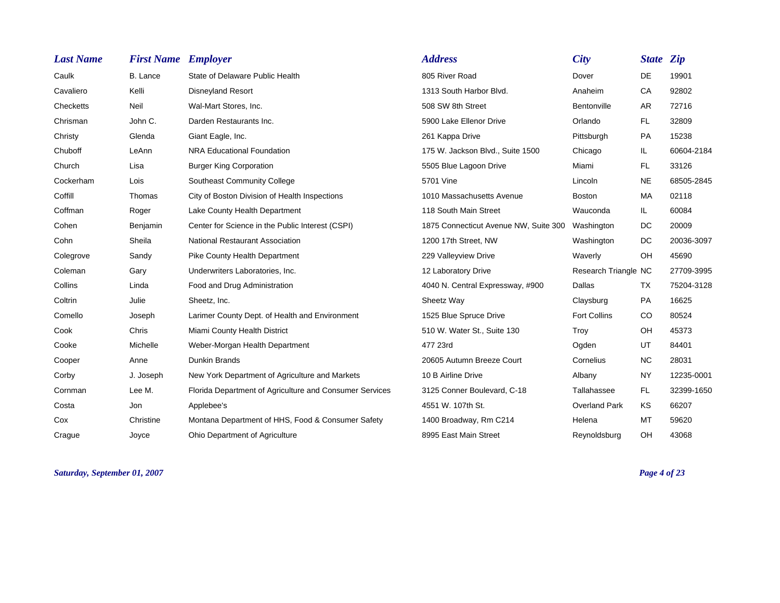| <b>Last Name</b> | <b>First Name Employer</b> |                                                         | <b>Address</b>                        | <b>City</b>          | <b>State Zip</b> |            |
|------------------|----------------------------|---------------------------------------------------------|---------------------------------------|----------------------|------------------|------------|
| Caulk            | B. Lance                   | State of Delaware Public Health                         | 805 River Road                        | Dover                | DE               | 19901      |
| Cavaliero        | Kelli                      | <b>Disneyland Resort</b>                                | 1313 South Harbor Blvd.               | Anaheim              | CA               | 92802      |
| Checketts        | Neil                       | Wal-Mart Stores, Inc.                                   | 508 SW 8th Street                     | Bentonville          | AR               | 72716      |
| Chrisman         | John C.                    | Darden Restaurants Inc.                                 | 5900 Lake Ellenor Drive               | Orlando              | FL.              | 32809      |
| Christy          | Glenda                     | Giant Eagle, Inc.                                       | 261 Kappa Drive                       | Pittsburgh           | PA               | 15238      |
| Chuboff          | LeAnn                      | <b>NRA Educational Foundation</b>                       | 175 W. Jackson Blvd., Suite 1500      | Chicago              | IL.              | 60604-2184 |
| Church           | Lisa                       | <b>Burger King Corporation</b>                          | 5505 Blue Lagoon Drive                | Miami                | <b>FL</b>        | 33126      |
| Cockerham        | Lois                       | Southeast Community College                             | 5701 Vine                             | Lincoln              | <b>NE</b>        | 68505-2845 |
| Coffill          | Thomas                     | City of Boston Division of Health Inspections           | 1010 Massachusetts Avenue             | <b>Boston</b>        | MA               | 02118      |
| Coffman          | Roger                      | Lake County Health Department                           | 118 South Main Street                 | Wauconda             | IL.              | 60084      |
| Cohen            | Benjamin                   | Center for Science in the Public Interest (CSPI)        | 1875 Connecticut Avenue NW, Suite 300 | Washington           | DC               | 20009      |
| Cohn             | Sheila                     | <b>National Restaurant Association</b>                  | 1200 17th Street, NW                  | Washington           | DC.              | 20036-3097 |
| Colegrove        | Sandy                      | Pike County Health Department                           | 229 Valleyview Drive                  | Waverly              | OH               | 45690      |
| Coleman          | Gary                       | Underwriters Laboratories, Inc.                         | 12 Laboratory Drive                   | Research Triangle NC |                  | 27709-3995 |
| Collins          | Linda                      | Food and Drug Administration                            | 4040 N. Central Expressway, #900      | Dallas               | TX               | 75204-3128 |
| Coltrin          | Julie                      | Sheetz, Inc.                                            | Sheetz Way                            | Claysburg            | PA               | 16625      |
| Comello          | Joseph                     | Larimer County Dept. of Health and Environment          | 1525 Blue Spruce Drive                | <b>Fort Collins</b>  | CO               | 80524      |
| Cook             | Chris                      | Miami County Health District                            | 510 W. Water St., Suite 130           | Troy                 | <b>OH</b>        | 45373      |
| Cooke            | Michelle                   | Weber-Morgan Health Department                          | 477 23rd                              | Ogden                | UT               | 84401      |
| Cooper           | Anne                       | <b>Dunkin Brands</b>                                    | 20605 Autumn Breeze Court             | Cornelius            | <b>NC</b>        | 28031      |
| Corby            | J. Joseph                  | New York Department of Agriculture and Markets          | 10 B Airline Drive                    | Albany               | <b>NY</b>        | 12235-0001 |
| Cornman          | Lee M.                     | Florida Department of Agriculture and Consumer Services | 3125 Conner Boulevard, C-18           | Tallahassee          | FL.              | 32399-1650 |
| Costa            | Jon                        | Applebee's                                              | 4551 W. 107th St.                     | <b>Overland Park</b> | <b>KS</b>        | 66207      |
| Cox              | Christine                  | Montana Department of HHS, Food & Consumer Safety       | 1400 Broadway, Rm C214                | Helena               | <b>MT</b>        | 59620      |
| Craque           | Jovce                      | Ohio Department of Agriculture                          | 8995 East Main Street                 | Reynoldsburg         | OH               | 43068      |

*Saturday, September 01, 2007 Page 4 of 23*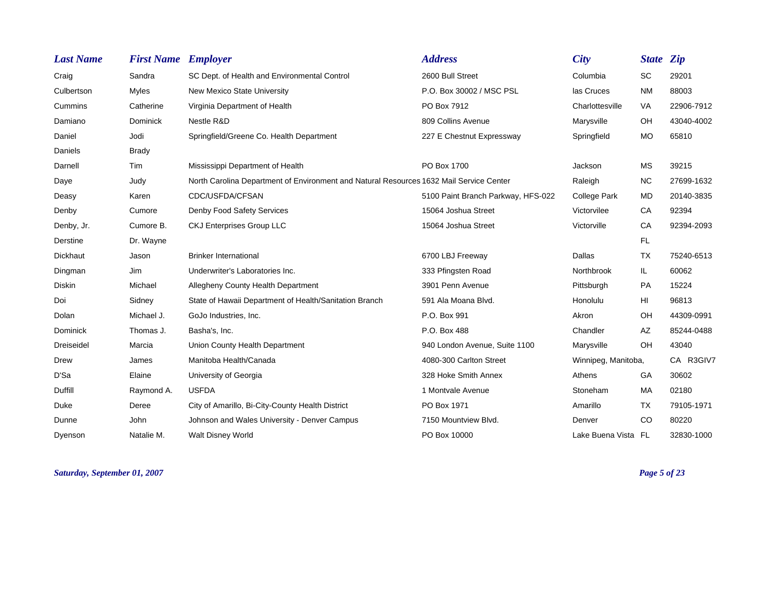| <b>Last Name</b> | <b>First Name Employer</b> |                                                                                         | <b>Address</b>                     | City                | State Zip |            |
|------------------|----------------------------|-----------------------------------------------------------------------------------------|------------------------------------|---------------------|-----------|------------|
| Craig            | Sandra                     | SC Dept. of Health and Environmental Control                                            | 2600 Bull Street                   | Columbia            | <b>SC</b> | 29201      |
| Culbertson       | Myles                      | New Mexico State University                                                             | P.O. Box 30002 / MSC PSL           | las Cruces          | <b>NM</b> | 88003      |
| Cummins          | Catherine                  | Virginia Department of Health                                                           | PO Box 7912                        | Charlottesville     | VA        | 22906-7912 |
| Damiano          | Dominick                   | Nestle R&D                                                                              | 809 Collins Avenue                 | Marysville          | OH        | 43040-4002 |
| Daniel           | Jodi                       | Springfield/Greene Co. Health Department                                                | 227 E Chestnut Expressway          | Springfield         | <b>MO</b> | 65810      |
| Daniels          | <b>Brady</b>               |                                                                                         |                                    |                     |           |            |
| Darnell          | Tim                        | Mississippi Department of Health                                                        | PO Box 1700                        | Jackson             | <b>MS</b> | 39215      |
| Daye             | Judy                       | North Carolina Department of Environment and Natural Resources 1632 Mail Service Center |                                    | Raleigh             | <b>NC</b> | 27699-1632 |
| Deasy            | Karen                      | CDC/USFDA/CFSAN                                                                         | 5100 Paint Branch Parkway, HFS-022 | College Park        | <b>MD</b> | 20140-3835 |
| Denby            | Cumore                     | Denby Food Safety Services                                                              | 15064 Joshua Street                | Victorvilee         | CA        | 92394      |
| Denby, Jr.       | Cumore B.                  | <b>CKJ Enterprises Group LLC</b>                                                        | 15064 Joshua Street                | Victorville         | CA        | 92394-2093 |
| Derstine         | Dr. Wayne                  |                                                                                         |                                    |                     | FL.       |            |
| <b>Dickhaut</b>  | Jason                      | <b>Brinker International</b>                                                            | 6700 LBJ Freeway                   | Dallas              | TX        | 75240-6513 |
| Dingman          | Jim                        | Underwriter's Laboratories Inc.                                                         | 333 Pfingsten Road                 | Northbrook          | IL.       | 60062      |
| Diskin           | Michael                    | Allegheny County Health Department                                                      | 3901 Penn Avenue                   | Pittsburgh          | PA        | 15224      |
| Doi              | Sidney                     | State of Hawaii Department of Health/Sanitation Branch                                  | 591 Ala Moana Blvd.                | Honolulu            | HI        | 96813      |
| Dolan            | Michael J.                 | GoJo Industries, Inc.                                                                   | P.O. Box 991                       | Akron               | OH        | 44309-0991 |
| Dominick         | Thomas J.                  | Basha's, Inc.                                                                           | P.O. Box 488                       | Chandler            | AZ        | 85244-0488 |
| Dreiseidel       | Marcia                     | Union County Health Department                                                          | 940 London Avenue, Suite 1100      | Marysville          | <b>OH</b> | 43040      |
| Drew             | James                      | Manitoba Health/Canada                                                                  | 4080-300 Carlton Street            | Winnipeg, Manitoba, |           | CA R3GIV7  |
| D'Sa             | Elaine                     | University of Georgia                                                                   | 328 Hoke Smith Annex               | Athens              | GA        | 30602      |
| Duffill          | Raymond A.                 | <b>USFDA</b>                                                                            | 1 Montvale Avenue                  | Stoneham            | MA        | 02180      |
| Duke             | Deree                      | City of Amarillo, Bi-City-County Health District                                        | PO Box 1971                        | Amarillo            | TX        | 79105-1971 |
| Dunne            | John                       | Johnson and Wales University - Denver Campus                                            | 7150 Mountview Blvd.               | Denver              | CO        | 80220      |
| Dyenson          | Natalie M.                 | <b>Walt Disney World</b>                                                                | PO Box 10000                       | Lake Buena Vista FL |           | 32830-1000 |

*Saturday, September 01, 2007 Page 5 of 23*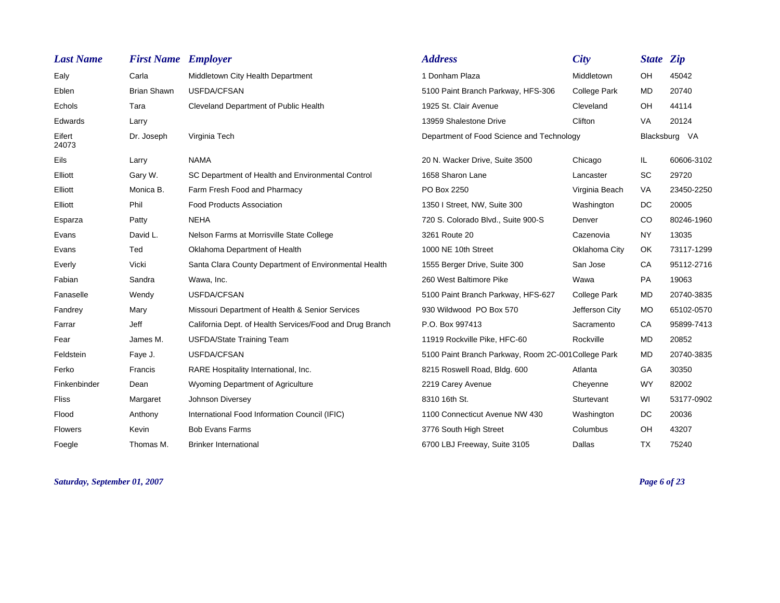| <b>Last Name</b> | <b>First Name Employer</b> |                                                          | <b>Address</b>                                      | <b>City</b>         | State Zip     |               |
|------------------|----------------------------|----------------------------------------------------------|-----------------------------------------------------|---------------------|---------------|---------------|
| Ealy             | Carla                      | Middletown City Health Department                        | 1 Donham Plaza                                      | Middletown          | OH            | 45042         |
| Eblen            | <b>Brian Shawn</b>         | <b>USFDA/CFSAN</b>                                       | 5100 Paint Branch Parkway, HFS-306                  | <b>College Park</b> | <b>MD</b>     | 20740         |
| Echols           | Tara                       | Cleveland Department of Public Health                    | 1925 St. Clair Avenue                               | Cleveland           | OH            | 44114         |
| Edwards          | Larry                      |                                                          | 13959 Shalestone Drive                              | Clifton             | <b>VA</b>     | 20124         |
| Eifert<br>24073  | Dr. Joseph                 | Virginia Tech                                            | Department of Food Science and Technology           |                     |               | Blacksburg VA |
| Eils             | Larry                      | <b>NAMA</b>                                              | 20 N. Wacker Drive, Suite 3500                      | Chicago             | IL.           | 60606-3102    |
| Elliott          | Gary W.                    | SC Department of Health and Environmental Control        | 1658 Sharon Lane                                    | Lancaster           | <b>SC</b>     | 29720         |
| Elliott          | Monica B.                  | Farm Fresh Food and Pharmacy                             | PO Box 2250                                         | Virginia Beach      | <b>VA</b>     | 23450-2250    |
| Elliott          | Phil                       | <b>Food Products Association</b>                         | 1350 I Street, NW, Suite 300                        | Washington          | DC.           | 20005         |
| Esparza          | Patty                      | <b>NEHA</b>                                              | 720 S. Colorado Blvd., Suite 900-S                  | Denver              | <sub>CO</sub> | 80246-1960    |
| Evans            | David L.                   | Nelson Farms at Morrisville State College                | 3261 Route 20                                       | Cazenovia           | <b>NY</b>     | 13035         |
| Evans            | Ted                        | Oklahoma Department of Health                            | 1000 NE 10th Street                                 | Oklahoma City       | OK            | 73117-1299    |
| Everly           | Vicki                      | Santa Clara County Department of Environmental Health    | 1555 Berger Drive, Suite 300                        | San Jose            | CA            | 95112-2716    |
| Fabian           | Sandra                     | Wawa, Inc.                                               | 260 West Baltimore Pike                             | Wawa                | PA            | 19063         |
| Fanaselle        | Wendy                      | USFDA/CFSAN                                              | 5100 Paint Branch Parkway, HFS-627                  | <b>College Park</b> | <b>MD</b>     | 20740-3835    |
| Fandrey          | Mary                       | Missouri Department of Health & Senior Services          | 930 Wildwood PO Box 570                             | Jefferson City      | MO            | 65102-0570    |
| Farrar           | Jeff                       | California Dept. of Health Services/Food and Drug Branch | P.O. Box 997413                                     | Sacramento          | CA            | 95899-7413    |
| Fear             | James M.                   | USFDA/State Training Team                                | 11919 Rockville Pike, HFC-60                        | Rockville           | <b>MD</b>     | 20852         |
| Feldstein        | Faye J.                    | USFDA/CFSAN                                              | 5100 Paint Branch Parkway, Room 2C-001 College Park |                     | <b>MD</b>     | 20740-3835    |
| Ferko            | Francis                    | RARE Hospitality International, Inc.                     | 8215 Roswell Road, Bldg. 600                        | Atlanta             | GA            | 30350         |
| Finkenbinder     | Dean                       | Wyoming Department of Agriculture                        | 2219 Carey Avenue                                   | Cheyenne            | <b>WY</b>     | 82002         |
| <b>Fliss</b>     | Margaret                   | Johnson Diversey                                         | 8310 16th St.                                       | Sturtevant          | WI            | 53177-0902    |
| Flood            | Anthony                    | International Food Information Council (IFIC)            | 1100 Connecticut Avenue NW 430                      | Washington          | DC            | 20036         |
| <b>Flowers</b>   | Kevin                      | <b>Bob Evans Farms</b>                                   | 3776 South High Street                              | Columbus            | OH            | 43207         |
| Foegle           | Thomas M.                  | <b>Brinker International</b>                             | 6700 LBJ Freeway, Suite 3105                        | Dallas              | <b>TX</b>     | 75240         |

*Saturday, September 01, 2007 Page 6 of 23*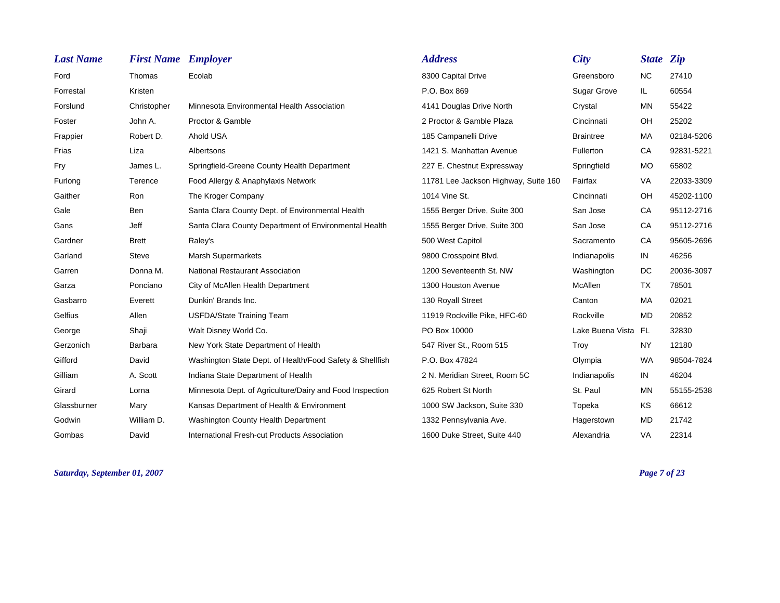| <b>Last Name</b> | <b>First Name</b> Employer |                                                          | <b>Address</b>                       | <b>City</b>         | <b>State Zip</b> |            |
|------------------|----------------------------|----------------------------------------------------------|--------------------------------------|---------------------|------------------|------------|
| Ford             | Thomas                     | Ecolab                                                   | 8300 Capital Drive                   | Greensboro          | <b>NC</b>        | 27410      |
| Forrestal        | Kristen                    |                                                          | P.O. Box 869                         | <b>Sugar Grove</b>  | IL.              | 60554      |
| Forslund         | Christopher                | Minnesota Environmental Health Association               | 4141 Douglas Drive North             | Crystal             | <b>MN</b>        | 55422      |
| Foster           | John A.                    | Proctor & Gamble                                         | 2 Proctor & Gamble Plaza             | Cincinnati          | OH               | 25202      |
| Frappier         | Robert D.                  | Ahold USA                                                | 185 Campanelli Drive                 | <b>Braintree</b>    | MA               | 02184-5206 |
| Frias            | Liza                       | Albertsons                                               | 1421 S. Manhattan Avenue             | Fullerton           | CA               | 92831-5221 |
| Fry              | James L.                   | Springfield-Greene County Health Department              | 227 E. Chestnut Expressway           | Springfield         | <b>MO</b>        | 65802      |
| Furlong          | Terence                    | Food Allergy & Anaphylaxis Network                       | 11781 Lee Jackson Highway, Suite 160 | Fairfax             | VA               | 22033-3309 |
| Gaither          | Ron                        | The Kroger Company                                       | 1014 Vine St.                        | Cincinnati          | <b>OH</b>        | 45202-1100 |
| Gale             | Ben                        | Santa Clara County Dept. of Environmental Health         | 1555 Berger Drive, Suite 300         | San Jose            | CA               | 95112-2716 |
| Gans             | Jeff                       | Santa Clara County Department of Environmental Health    | 1555 Berger Drive, Suite 300         | San Jose            | CA               | 95112-2716 |
| Gardner          | <b>Brett</b>               | Raley's                                                  | 500 West Capitol                     | Sacramento          | CA               | 95605-2696 |
| Garland          | <b>Steve</b>               | <b>Marsh Supermarkets</b>                                | 9800 Crosspoint Blvd.                | Indianapolis        | IN               | 46256      |
| Garren           | Donna M.                   | <b>National Restaurant Association</b>                   | 1200 Seventeenth St. NW              | Washington          | DC               | 20036-3097 |
| Garza            | Ponciano                   | City of McAllen Health Department                        | 1300 Houston Avenue                  | McAllen             | <b>TX</b>        | 78501      |
| Gasbarro         | Everett                    | Dunkin' Brands Inc.                                      | 130 Royall Street                    | Canton              | MA               | 02021      |
| Gelfius          | Allen                      | <b>USFDA/State Training Team</b>                         | 11919 Rockville Pike, HFC-60         | Rockville           | MD.              | 20852      |
| George           | Shaji                      | Walt Disney World Co.                                    | PO Box 10000                         | Lake Buena Vista FL |                  | 32830      |
| Gerzonich        | Barbara                    | New York State Department of Health                      | 547 River St., Room 515              | Troy                | <b>NY</b>        | 12180      |
| Gifford          | David                      | Washington State Dept. of Health/Food Safety & Shellfish | P.O. Box 47824                       | Olympia             | <b>WA</b>        | 98504-7824 |
| Gilliam          | A. Scott                   | Indiana State Department of Health                       | 2 N. Meridian Street, Room 5C        | Indianapolis        | IN               | 46204      |
| Girard           | Lorna                      | Minnesota Dept. of Agriculture/Dairy and Food Inspection | 625 Robert St North                  | St. Paul            | <b>MN</b>        | 55155-2538 |
| Glassburner      | Mary                       | Kansas Department of Health & Environment                | 1000 SW Jackson, Suite 330           | Topeka              | KS               | 66612      |
| Godwin           | William D.                 | Washington County Health Department                      | 1332 Pennsylvania Ave.               | Hagerstown          | <b>MD</b>        | 21742      |
| Gombas           | David                      | International Fresh-cut Products Association             | 1600 Duke Street, Suite 440          | Alexandria          | <b>VA</b>        | 22314      |

*Saturday, September 01, 2007 Page 7 of 23*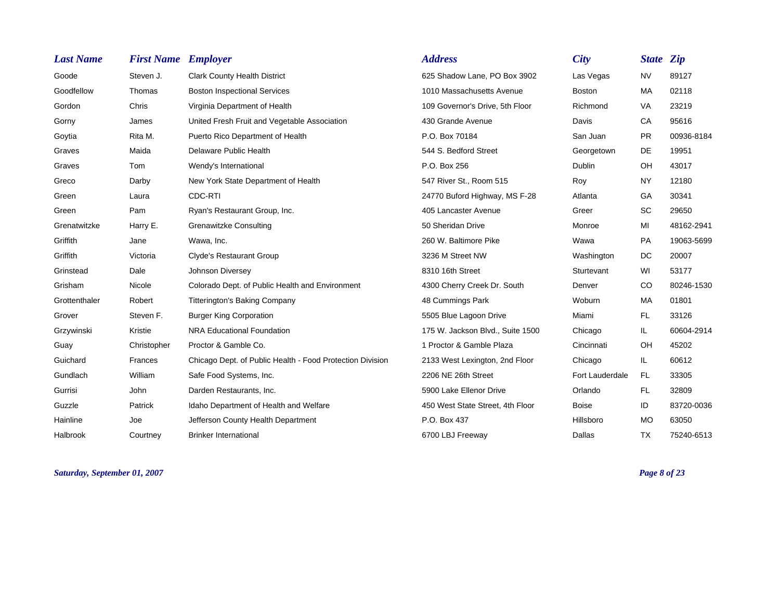| <b>Last Name</b> | <b>First Name Employer</b> |                                                           | <b>Address</b>                   | <b>City</b>     | <b>State Zip</b> |            |
|------------------|----------------------------|-----------------------------------------------------------|----------------------------------|-----------------|------------------|------------|
| Goode            | Steven J.                  | <b>Clark County Health District</b>                       | 625 Shadow Lane, PO Box 3902     | Las Vegas       | <b>NV</b>        | 89127      |
| Goodfellow       | Thomas                     | <b>Boston Inspectional Services</b>                       | 1010 Massachusetts Avenue        | <b>Boston</b>   | MA               | 02118      |
| Gordon           | Chris                      | Virginia Department of Health                             | 109 Governor's Drive, 5th Floor  | Richmond        | VA               | 23219      |
| Gorny            | James                      | United Fresh Fruit and Vegetable Association              | 430 Grande Avenue                | Davis           | CA               | 95616      |
| Goytia           | Rita M.                    | Puerto Rico Department of Health                          | P.O. Box 70184                   | San Juan        | <b>PR</b>        | 00936-8184 |
| Graves           | Maida                      | Delaware Public Health                                    | 544 S. Bedford Street            | Georgetown      | DE               | 19951      |
| Graves           | Tom                        | Wendy's International                                     | P.O. Box 256                     | Dublin          | OH               | 43017      |
| Greco            | Darby                      | New York State Department of Health                       | 547 River St., Room 515          | Roy             | <b>NY</b>        | 12180      |
| Green            | Laura                      | CDC-RTI                                                   | 24770 Buford Highway, MS F-28    | Atlanta         | GA               | 30341      |
| Green            | Pam                        | Ryan's Restaurant Group, Inc.                             | 405 Lancaster Avenue             | Greer           | <b>SC</b>        | 29650      |
| Grenatwitzke     | Harry E.                   | Grenawitzke Consulting                                    | 50 Sheridan Drive                | Monroe          | MI               | 48162-2941 |
| Griffith         | Jane                       | Wawa, Inc.                                                | 260 W. Baltimore Pike            | Wawa            | PA               | 19063-5699 |
| Griffith         | Victoria                   | <b>Clyde's Restaurant Group</b>                           | 3236 M Street NW                 | Washington      | DC               | 20007      |
| Grinstead        | Dale                       | Johnson Diversey                                          | 8310 16th Street                 | Sturtevant      | WI               | 53177      |
| Grisham          | Nicole                     | Colorado Dept. of Public Health and Environment           | 4300 Cherry Creek Dr. South      | Denver          | <sub>CO</sub>    | 80246-1530 |
| Grottenthaler    | Robert                     | <b>Titterington's Baking Company</b>                      | 48 Cummings Park                 | Woburn          | MA               | 01801      |
| Grover           | Steven F.                  | <b>Burger King Corporation</b>                            | 5505 Blue Lagoon Drive           | Miami           | FL.              | 33126      |
| Grzywinski       | Kristie                    | NRA Educational Foundation                                | 175 W. Jackson Blvd., Suite 1500 | Chicago         | IL.              | 60604-2914 |
| Guay             | Christopher                | Proctor & Gamble Co.                                      | 1 Proctor & Gamble Plaza         | Cincinnati      | <b>OH</b>        | 45202      |
| Guichard         | Frances                    | Chicago Dept. of Public Health - Food Protection Division | 2133 West Lexington, 2nd Floor   | Chicago         | IL.              | 60612      |
| Gundlach         | William                    | Safe Food Systems, Inc.                                   | 2206 NE 26th Street              | Fort Lauderdale | FL.              | 33305      |
| Gurrisi          | John                       | Darden Restaurants, Inc.                                  | 5900 Lake Ellenor Drive          | Orlando         | FL.              | 32809      |
| Guzzle           | Patrick                    | Idaho Department of Health and Welfare                    | 450 West State Street, 4th Floor | <b>Boise</b>    | ID               | 83720-0036 |
| Hainline         | Joe                        | Jefferson County Health Department                        | P.O. Box 437                     | Hillsboro       | <b>MO</b>        | 63050      |
| Halbrook         | Courtney                   | <b>Brinker International</b>                              | 6700 LBJ Freeway                 | Dallas          | <b>TX</b>        | 75240-6513 |

*Saturday, September 01, 2007 Page 8 of 23*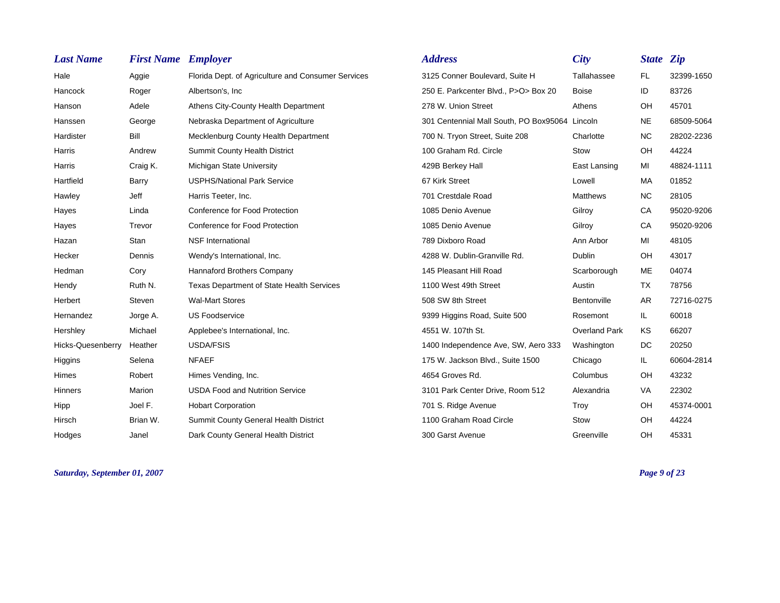| <b>Last Name</b>  | <b>First Name</b> | <b>Employer</b>                                    | <b>Address</b>                         | <b>City</b>          | <b>State Zip</b> |            |
|-------------------|-------------------|----------------------------------------------------|----------------------------------------|----------------------|------------------|------------|
| Hale              | Aggie             | Florida Dept. of Agriculture and Consumer Services | 3125 Conner Boulevard, Suite H         | Tallahassee          | <b>FL</b>        | 32399-1650 |
| Hancock           | Roger             | Albertson's, Inc.                                  | 250 E. Parkcenter Blvd., P>O> Box 20   | <b>Boise</b>         | ID               | 83726      |
| Hanson            | Adele             | Athens City-County Health Department               | 278 W. Union Street                    | Athens               | OH               | 45701      |
| Hanssen           | George            | Nebraska Department of Agriculture                 | 301 Centennial Mall South, PO Box95064 | Lincoln              | <b>NE</b>        | 68509-5064 |
| Hardister         | Bill              | Mecklenburg County Health Department               | 700 N. Tryon Street, Suite 208         | Charlotte            | <b>NC</b>        | 28202-2236 |
| Harris            | Andrew            | <b>Summit County Health District</b>               | 100 Graham Rd. Circle                  | Stow                 | OH               | 44224      |
| Harris            | Craig K.          | Michigan State University                          | 429B Berkey Hall                       | East Lansing         | MI               | 48824-1111 |
| Hartfield         | Barry             | <b>USPHS/National Park Service</b>                 | 67 Kirk Street                         | Lowell               | <b>MA</b>        | 01852      |
| Hawley            | Jeff              | Harris Teeter, Inc.                                | 701 Crestdale Road                     | <b>Matthews</b>      | NC.              | 28105      |
| Hayes             | Linda             | Conference for Food Protection                     | 1085 Denio Avenue                      | Gilroy               | CA               | 95020-9206 |
| Hayes             | Trevor            | Conference for Food Protection                     | 1085 Denio Avenue                      | Gilroy               | CA               | 95020-9206 |
| Hazan             | Stan              | <b>NSF</b> International                           | 789 Dixboro Road                       | Ann Arbor            | MI               | 48105      |
| Hecker            | Dennis            | Wendy's International, Inc.                        | 4288 W. Dublin-Granville Rd.           | <b>Dublin</b>        | OH               | 43017      |
| Hedman            | Cory              | Hannaford Brothers Company                         | 145 Pleasant Hill Road                 | Scarborough          | <b>ME</b>        | 04074      |
| Hendy             | Ruth N.           | <b>Texas Department of State Health Services</b>   | 1100 West 49th Street                  | Austin               | TX               | 78756      |
| Herbert           | Steven            | <b>Wal-Mart Stores</b>                             | 508 SW 8th Street                      | Bentonville          | <b>AR</b>        | 72716-0275 |
| Hernandez         | Jorge A.          | <b>US Foodservice</b>                              | 9399 Higgins Road, Suite 500           | Rosemont             | IL.              | 60018      |
| Hershley          | Michael           | Applebee's International, Inc.                     | 4551 W. 107th St.                      | <b>Overland Park</b> | KS               | 66207      |
| Hicks-Quesenberry | Heather           | USDA/FSIS                                          | 1400 Independence Ave, SW, Aero 333    | Washington           | DC.              | 20250      |
| Higgins           | Selena            | <b>NFAEF</b>                                       | 175 W. Jackson Blvd., Suite 1500       | Chicago              | IL.              | 60604-2814 |
| Himes             | Robert            | Himes Vending, Inc.                                | 4654 Groves Rd.                        | Columbus             | OH               | 43232      |
| <b>Hinners</b>    | Marion            | <b>USDA Food and Nutrition Service</b>             | 3101 Park Center Drive, Room 512       | Alexandria           | <b>VA</b>        | 22302      |
| Hipp              | Joel F.           | <b>Hobart Corporation</b>                          | 701 S. Ridge Avenue                    | Troy                 | OH               | 45374-0001 |
| Hirsch            | Brian W.          | Summit County General Health District              | 1100 Graham Road Circle                | Stow                 | OH               | 44224      |
| Hodges            | Janel             | Dark County General Health District                | 300 Garst Avenue                       | Greenville           | OH               | 45331      |

*Saturday, September 01, 2007 Page 9 of 23*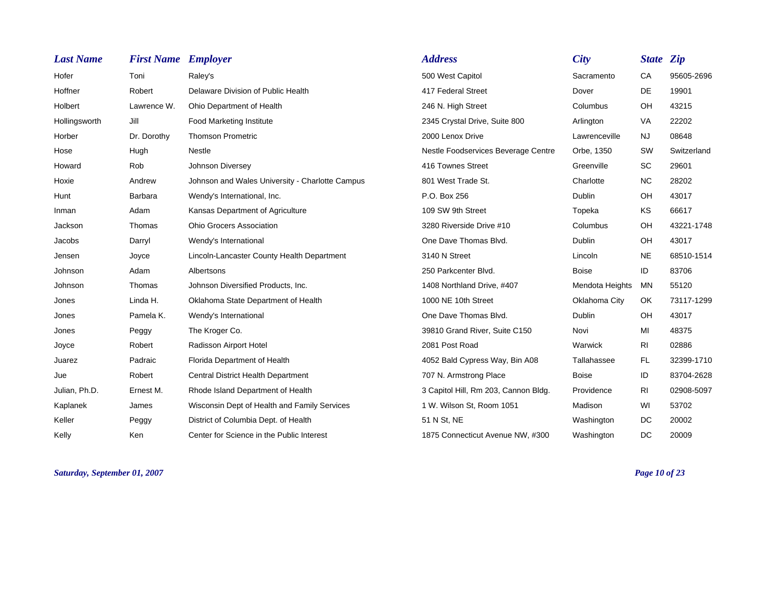| <b>Last Name</b> | <b>First Name Employer</b> |                                                 | <b>Address</b>                       | <b>City</b>     | <b>State Zip</b> |             |
|------------------|----------------------------|-------------------------------------------------|--------------------------------------|-----------------|------------------|-------------|
| Hofer            | Toni                       | Raley's                                         | 500 West Capitol                     | Sacramento      | CA               | 95605-2696  |
| Hoffner          | Robert                     | Delaware Division of Public Health              | 417 Federal Street                   | Dover           | DE               | 19901       |
| Holbert          | Lawrence W.                | Ohio Department of Health                       | 246 N. High Street                   | Columbus        | OH               | 43215       |
| Hollingsworth    | Jill                       | <b>Food Marketing Institute</b>                 | 2345 Crystal Drive, Suite 800        | Arlington       | VA               | 22202       |
| Horber           | Dr. Dorothy                | <b>Thomson Prometric</b>                        | 2000 Lenox Drive                     | Lawrenceville   | <b>NJ</b>        | 08648       |
| Hose             | Hugh                       | Nestle                                          | Nestle Foodservices Beverage Centre  | Orbe, 1350      | SW               | Switzerland |
| Howard           | Rob                        | Johnson Diversey                                | 416 Townes Street                    | Greenville      | <b>SC</b>        | 29601       |
| Hoxie            | Andrew                     | Johnson and Wales University - Charlotte Campus | 801 West Trade St.                   | Charlotte       | <b>NC</b>        | 28202       |
| Hunt             | Barbara                    | Wendy's International, Inc.                     | P.O. Box 256                         | <b>Dublin</b>   | OH               | 43017       |
| Inman            | Adam                       | Kansas Department of Agriculture                | 109 SW 9th Street                    | Topeka          | KS               | 66617       |
| Jackson          | Thomas                     | <b>Ohio Grocers Association</b>                 | 3280 Riverside Drive #10             | Columbus        | OH               | 43221-1748  |
| Jacobs           | Darryl                     | Wendy's International                           | One Dave Thomas Blvd.                | Dublin          | OH               | 43017       |
| Jensen           | Joyce                      | Lincoln-Lancaster County Health Department      | 3140 N Street                        | Lincoln         | <b>NE</b>        | 68510-1514  |
| Johnson          | Adam                       | Albertsons                                      | 250 Parkcenter Blvd.                 | <b>Boise</b>    | ID               | 83706       |
| Johnson          | Thomas                     | Johnson Diversified Products, Inc.              | 1408 Northland Drive, #407           | Mendota Heights | MN               | 55120       |
| Jones            | Linda H.                   | Oklahoma State Department of Health             | 1000 NE 10th Street                  | Oklahoma City   | OK.              | 73117-1299  |
| Jones            | Pamela K.                  | Wendy's International                           | One Dave Thomas Blvd.                | Dublin          | OH               | 43017       |
| Jones            | Peggy                      | The Kroger Co.                                  | 39810 Grand River, Suite C150        | Novi            | MI               | 48375       |
| Joyce            | Robert                     | Radisson Airport Hotel                          | 2081 Post Road                       | Warwick         | R <sub>l</sub>   | 02886       |
| Juarez           | Padraic                    | Florida Department of Health                    | 4052 Bald Cypress Way, Bin A08       | Tallahassee     | <b>FL</b>        | 32399-1710  |
| Jue              | Robert                     | <b>Central District Health Department</b>       | 707 N. Armstrong Place               | <b>Boise</b>    | ID               | 83704-2628  |
| Julian, Ph.D.    | Ernest M.                  | Rhode Island Department of Health               | 3 Capitol Hill, Rm 203, Cannon Bldg. | Providence      | <b>RI</b>        | 02908-5097  |
| Kaplanek         | James                      | Wisconsin Dept of Health and Family Services    | 1 W. Wilson St, Room 1051            | Madison         | WI               | 53702       |
| Keller           | Peggy                      | District of Columbia Dept. of Health            | 51 N St, NE                          | Washington      | DC               | 20002       |
| Kelly            | Ken                        | Center for Science in the Public Interest       | 1875 Connecticut Avenue NW, #300     | Washington      | DC.              | 20009       |

*Saturday, September 01, 2007 Page 10 of 23*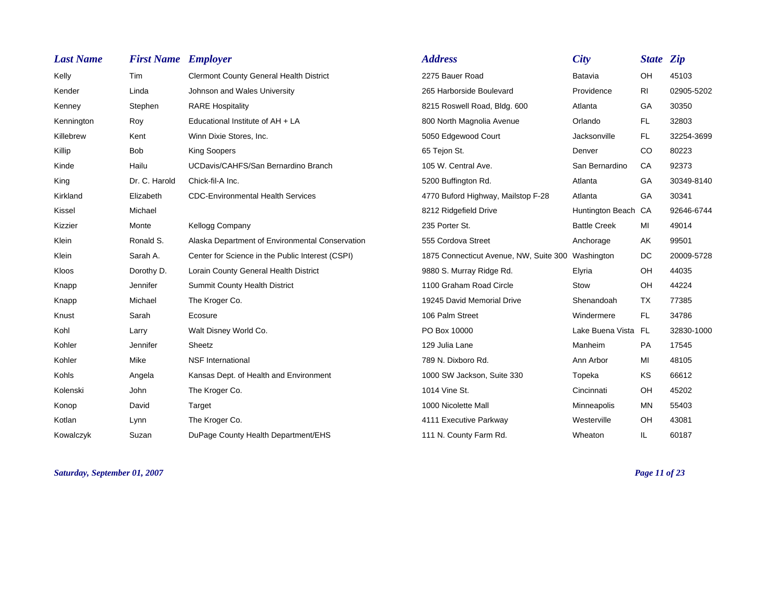| <b>Last Name</b> | <b>First Name Employer</b> |                                                  | <b>Address</b>                                    | City                | State <i>Zip</i> |            |
|------------------|----------------------------|--------------------------------------------------|---------------------------------------------------|---------------------|------------------|------------|
| Kelly            | <b>Tim</b>                 | <b>Clermont County General Health District</b>   | 2275 Bauer Road                                   | Batavia             | OH               | 45103      |
| Kender           | Linda                      | Johnson and Wales University                     | 265 Harborside Boulevard                          | Providence          | R <sub>l</sub>   | 02905-5202 |
| Kenney           | Stephen                    | <b>RARE Hospitality</b>                          | 8215 Roswell Road, Bldg. 600                      | Atlanta             | GA               | 30350      |
| Kennington       | Roy                        | Educational Institute of AH + LA                 | 800 North Magnolia Avenue                         | Orlando             | FL.              | 32803      |
| Killebrew        | Kent                       | Winn Dixie Stores, Inc.                          | 5050 Edgewood Court                               | Jacksonville        | FL.              | 32254-3699 |
| Killip           | <b>Bob</b>                 | <b>King Soopers</b>                              | 65 Tejon St.                                      | Denver              | <sub>CO</sub>    | 80223      |
| Kinde            | Hailu                      | UCDavis/CAHFS/San Bernardino Branch              | 105 W. Central Ave.                               | San Bernardino      | CA               | 92373      |
| King             | Dr. C. Harold              | Chick-fil-A Inc.                                 | 5200 Buffington Rd.                               | Atlanta             | GA               | 30349-8140 |
| Kirkland         | Elizabeth                  | <b>CDC-Environmental Health Services</b>         | 4770 Buford Highway, Mailstop F-28                | Atlanta             | GA               | 30341      |
| Kissel           | Michael                    |                                                  | 8212 Ridgefield Drive                             | Huntington Beach CA |                  | 92646-6744 |
| Kizzier          | Monte                      | Kellogg Company                                  | 235 Porter St.                                    | <b>Battle Creek</b> | MI               | 49014      |
| Klein            | Ronald S.                  | Alaska Department of Environmental Conservation  | 555 Cordova Street                                | Anchorage           | AK               | 99501      |
| Klein            | Sarah A.                   | Center for Science in the Public Interest (CSPI) | 1875 Connecticut Avenue, NW, Suite 300 Washington |                     | DC               | 20009-5728 |
| Kloos            | Dorothy D.                 | Lorain County General Health District            | 9880 S. Murray Ridge Rd.                          | Elyria              | OH               | 44035      |
| Knapp            | Jennifer                   | Summit County Health District                    | 1100 Graham Road Circle                           | Stow                | OH               | 44224      |
| Knapp            | Michael                    | The Kroger Co.                                   | 19245 David Memorial Drive                        | Shenandoah          | TX.              | 77385      |
| Knust            | Sarah                      | Ecosure                                          | 106 Palm Street                                   | Windermere          | FL.              | 34786      |
| Kohl             | Larry                      | Walt Disney World Co.                            | PO Box 10000                                      | Lake Buena Vista FL |                  | 32830-1000 |
| Kohler           | Jennifer                   | Sheetz                                           | 129 Julia Lane                                    | Manheim             | PA               | 17545      |
| Kohler           | Mike                       | <b>NSF</b> International                         | 789 N. Dixboro Rd.                                | Ann Arbor           | MI               | 48105      |
| Kohls            | Angela                     | Kansas Dept. of Health and Environment           | 1000 SW Jackson, Suite 330                        | Topeka              | KS               | 66612      |
| Kolenski         | John                       | The Kroger Co.                                   | 1014 Vine St.                                     | Cincinnati          | OH               | 45202      |
| Konop            | David                      | Target                                           | 1000 Nicolette Mall                               | Minneapolis         | <b>MN</b>        | 55403      |
| Kotlan           | Lynn                       | The Kroger Co.                                   | 4111 Executive Parkway                            | Westerville         | OH               | 43081      |
| Kowalczyk        | Suzan                      | DuPage County Health Department/EHS              | 111 N. County Farm Rd.                            | Wheaton             | IL.              | 60187      |

*Saturday, September 01, 2007 Page 11 of 23*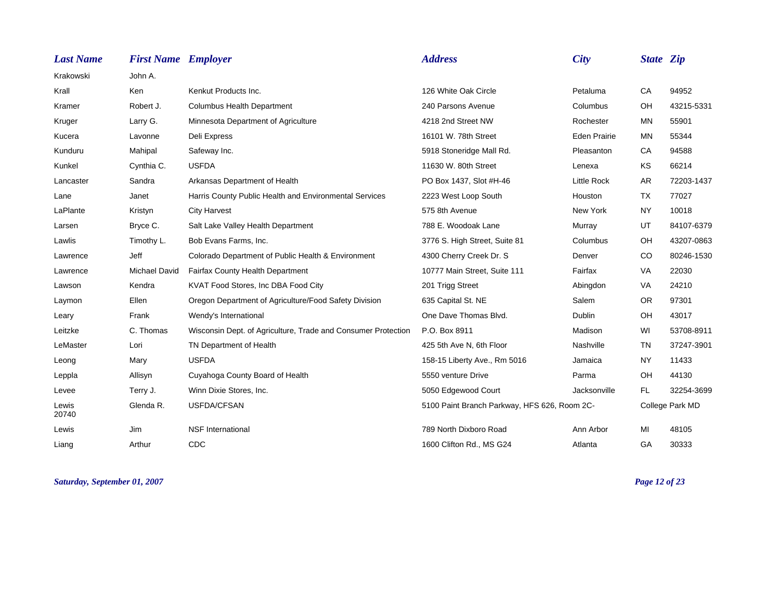| <b>Last Name</b> | <b>First Name Employer</b> |                                                               | <b>Address</b>                               | <b>City</b>         | <b>State Zip</b> |                 |
|------------------|----------------------------|---------------------------------------------------------------|----------------------------------------------|---------------------|------------------|-----------------|
| Krakowski        | John A.                    |                                                               |                                              |                     |                  |                 |
| Krall            | Ken                        | Kenkut Products Inc.                                          | 126 White Oak Circle                         | Petaluma            | CA               | 94952           |
| Kramer           | Robert J.                  | <b>Columbus Health Department</b>                             | 240 Parsons Avenue                           | Columbus            | OH               | 43215-5331      |
| Kruger           | Larry G.                   | Minnesota Department of Agriculture                           | 4218 2nd Street NW                           | Rochester           | MN               | 55901           |
| Kucera           | Lavonne                    | Deli Express                                                  | 16101 W. 78th Street                         | <b>Eden Prairie</b> | ΜN               | 55344           |
| Kunduru          | Mahipal                    | Safeway Inc.                                                  | 5918 Stoneridge Mall Rd.                     | Pleasanton          | CA               | 94588           |
| Kunkel           | Cynthia C.                 | <b>USFDA</b>                                                  | 11630 W. 80th Street                         | Lenexa              | KS               | 66214           |
| Lancaster        | Sandra                     | Arkansas Department of Health                                 | PO Box 1437, Slot #H-46                      | <b>Little Rock</b>  | <b>AR</b>        | 72203-1437      |
| Lane             | Janet                      | Harris County Public Health and Environmental Services        | 2223 West Loop South                         | Houston             | <b>TX</b>        | 77027           |
| LaPlante         | Kristyn                    | <b>City Harvest</b>                                           | 575 8th Avenue                               | New York            | NY.              | 10018           |
| Larsen           | Bryce C.                   | Salt Lake Valley Health Department                            | 788 E. Woodoak Lane                          | Murray              | UT               | 84107-6379      |
| Lawlis           | Timothy L.                 | Bob Evans Farms, Inc.                                         | 3776 S. High Street, Suite 81                | Columbus            | OH               | 43207-0863      |
| Lawrence         | Jeff                       | Colorado Department of Public Health & Environment            | 4300 Cherry Creek Dr. S                      | Denver              | CO               | 80246-1530      |
| Lawrence         | <b>Michael David</b>       | Fairfax County Health Department                              | 10777 Main Street, Suite 111                 | Fairfax             | VA               | 22030           |
| Lawson           | Kendra                     | KVAT Food Stores, Inc DBA Food City                           | 201 Trigg Street                             | Abingdon            | VA               | 24210           |
| Laymon           | Ellen                      | Oregon Department of Agriculture/Food Safety Division         | 635 Capital St. NE                           | Salem               | <b>OR</b>        | 97301           |
| Leary            | Frank                      | Wendy's International                                         | One Dave Thomas Blvd.                        | <b>Dublin</b>       | OH               | 43017           |
| Leitzke          | C. Thomas                  | Wisconsin Dept. of Agriculture, Trade and Consumer Protection | P.O. Box 8911                                | Madison             | WI               | 53708-8911      |
| LeMaster         | Lori                       | TN Department of Health                                       | 425 5th Ave N, 6th Floor                     | Nashville           | <b>TN</b>        | 37247-3901      |
| Leong            | Mary                       | <b>USFDA</b>                                                  | 158-15 Liberty Ave., Rm 5016                 | Jamaica             | NY.              | 11433           |
| Leppla           | Allisyn                    | Cuyahoga County Board of Health                               | 5550 venture Drive                           | Parma               | OH               | 44130           |
| Levee            | Terry J.                   | Winn Dixie Stores, Inc.                                       | 5050 Edgewood Court                          | Jacksonville        | <b>FL</b>        | 32254-3699      |
| Lewis<br>20740   | Glenda R.                  | USFDA/CFSAN                                                   | 5100 Paint Branch Parkway, HFS 626, Room 2C- |                     |                  | College Park MD |
| Lewis            | Jim                        | <b>NSF</b> International                                      | 789 North Dixboro Road                       | Ann Arbor           | MI               | 48105           |
| Liang            | Arthur                     | CDC                                                           | 1600 Clifton Rd., MS G24                     | Atlanta             | GA               | 30333           |

*Saturday, September 01, 2007 Page 12 of 23*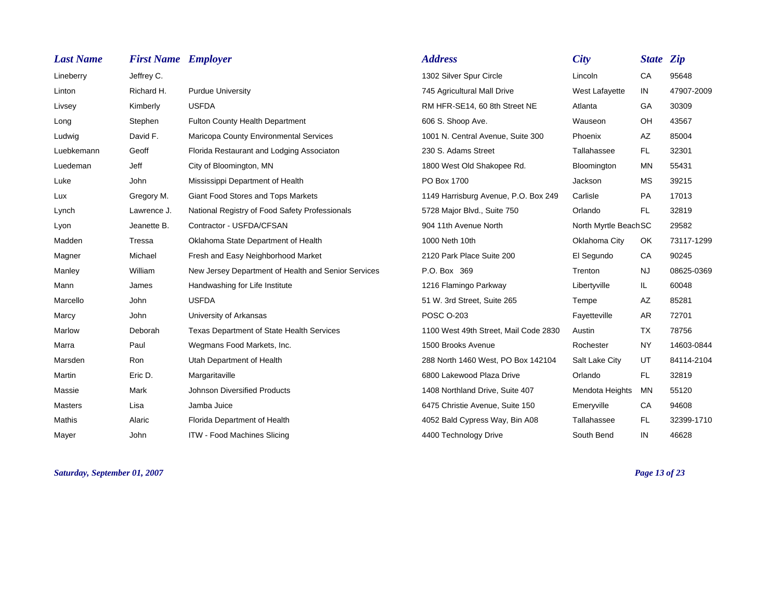| <b>Last Name</b> | <b>First Name Employer</b> |                                                     | <b>Address</b>                        | <b>City</b>          | <b>State Zip</b> |            |
|------------------|----------------------------|-----------------------------------------------------|---------------------------------------|----------------------|------------------|------------|
| Lineberry        | Jeffrey C.                 |                                                     | 1302 Silver Spur Circle               | Lincoln              | CA               | 95648      |
| Linton           | Richard H.                 | <b>Purdue University</b>                            | 745 Agricultural Mall Drive           | West Lafayette       | IN               | 47907-2009 |
| Livsey           | Kimberly                   | <b>USFDA</b>                                        | RM HFR-SE14, 60 8th Street NE         | Atlanta              | GA               | 30309      |
| Long             | Stephen                    | <b>Fulton County Health Department</b>              | 606 S. Shoop Ave.                     | Wauseon              | OH               | 43567      |
| Ludwig           | David F.                   | Maricopa County Environmental Services              | 1001 N. Central Avenue, Suite 300     | Phoenix              | AZ               | 85004      |
| Luebkemann       | Geoff                      | Florida Restaurant and Lodging Associaton           | 230 S. Adams Street                   | Tallahassee          | FL.              | 32301      |
| Luedeman         | Jeff                       | City of Bloomington, MN                             | 1800 West Old Shakopee Rd.            | Bloomington          | <b>MN</b>        | 55431      |
| Luke             | John                       | Mississippi Department of Health                    | PO Box 1700                           | Jackson              | <b>MS</b>        | 39215      |
| Lux              | Gregory M.                 | Giant Food Stores and Tops Markets                  | 1149 Harrisburg Avenue, P.O. Box 249  | Carlisle             | <b>PA</b>        | 17013      |
| Lynch            | Lawrence J.                | National Registry of Food Safety Professionals      | 5728 Major Blvd., Suite 750           | Orlando              | FL.              | 32819      |
| Lyon             | Jeanette B.                | Contractor - USFDA/CFSAN                            | 904 11th Avenue North                 | North Myrtle BeachSC |                  | 29582      |
| Madden           | Tressa                     | Oklahoma State Department of Health                 | 1000 Neth 10th                        | Oklahoma City        | OK               | 73117-1299 |
| Magner           | Michael                    | Fresh and Easy Neighborhood Market                  | 2120 Park Place Suite 200             | El Segundo           | CA               | 90245      |
| Manley           | William                    | New Jersey Department of Health and Senior Services | P.O. Box 369                          | Trenton              | <b>NJ</b>        | 08625-0369 |
| Mann             | James                      | Handwashing for Life Institute                      | 1216 Flamingo Parkway                 | Libertyville         | IL.              | 60048      |
| Marcello         | John                       | <b>USFDA</b>                                        | 51 W. 3rd Street, Suite 265           | Tempe                | AZ               | 85281      |
| Marcy            | John                       | University of Arkansas                              | <b>POSC O-203</b>                     | Fayetteville         | AR               | 72701      |
| Marlow           | Deborah                    | <b>Texas Department of State Health Services</b>    | 1100 West 49th Street, Mail Code 2830 | Austin               | <b>TX</b>        | 78756      |
| Marra            | Paul                       | Wegmans Food Markets, Inc.                          | 1500 Brooks Avenue                    | Rochester            | <b>NY</b>        | 14603-0844 |
| Marsden          | Ron                        | Utah Department of Health                           | 288 North 1460 West, PO Box 142104    | Salt Lake City       | UT               | 84114-2104 |
| Martin           | Eric D.                    | Margaritaville                                      | 6800 Lakewood Plaza Drive             | Orlando              | <b>FL</b>        | 32819      |
| Massie           | Mark                       | <b>Johnson Diversified Products</b>                 | 1408 Northland Drive, Suite 407       | Mendota Heights      | <b>MN</b>        | 55120      |
| <b>Masters</b>   | Lisa                       | Jamba Juice                                         | 6475 Christie Avenue, Suite 150       | Emeryville           | CA               | 94608      |
| Mathis           | Alaric                     | Florida Department of Health                        | 4052 Bald Cypress Way, Bin A08        | Tallahassee          | <b>FL</b>        | 32399-1710 |
| Mayer            | John                       | <b>ITW - Food Machines Slicing</b>                  | 4400 Technology Drive                 | South Bend           | IN               | 46628      |

*Saturday, September 01, 2007 Page 13 of 23*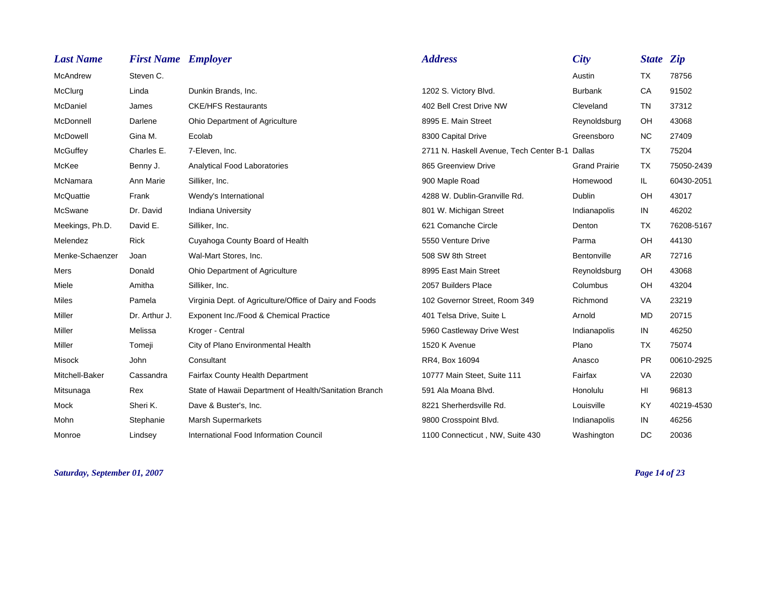| <b>Last Name</b> | <b>First Name Employer</b> |                                                         | <b>Address</b>                                 | <b>City</b>          | <b>State Zip</b> |            |
|------------------|----------------------------|---------------------------------------------------------|------------------------------------------------|----------------------|------------------|------------|
| McAndrew         | Steven C.                  |                                                         |                                                | Austin               | <b>TX</b>        | 78756      |
| McClurg          | Linda                      | Dunkin Brands, Inc.                                     | 1202 S. Victory Blvd.                          | <b>Burbank</b>       | CA               | 91502      |
| McDaniel         | James                      | <b>CKE/HFS Restaurants</b>                              | 402 Bell Crest Drive NW                        | Cleveland            | <b>TN</b>        | 37312      |
| McDonnell        | Darlene                    | Ohio Department of Agriculture                          | 8995 E. Main Street                            | Reynoldsburg         | OH               | 43068      |
| McDowell         | Gina M.                    | Ecolab                                                  | 8300 Capital Drive                             | Greensboro           | <b>NC</b>        | 27409      |
| McGuffey         | Charles E.                 | 7-Eleven, Inc.                                          | 2711 N. Haskell Avenue, Tech Center B-1 Dallas |                      | <b>TX</b>        | 75204      |
| McKee            | Benny J.                   | Analytical Food Laboratories                            | 865 Greenview Drive                            | <b>Grand Prairie</b> | <b>TX</b>        | 75050-2439 |
| McNamara         | Ann Marie                  | Silliker, Inc.                                          | 900 Maple Road                                 | Homewood             | IL.              | 60430-2051 |
| McQuattie        | Frank                      | Wendy's International                                   | 4288 W. Dublin-Granville Rd.                   | Dublin               | OH               | 43017      |
| McSwane          | Dr. David                  | <b>Indiana University</b>                               | 801 W. Michigan Street                         | Indianapolis         | IN               | 46202      |
| Meekings, Ph.D.  | David E.                   | Silliker, Inc.                                          | 621 Comanche Circle                            | Denton               | TX               | 76208-5167 |
| Melendez         | <b>Rick</b>                | Cuyahoga County Board of Health                         | 5550 Venture Drive                             | Parma                | OH               | 44130      |
| Menke-Schaenzer  | Joan                       | Wal-Mart Stores, Inc.                                   | 508 SW 8th Street                              | Bentonville          | <b>AR</b>        | 72716      |
| Mers             | Donald                     | Ohio Department of Agriculture                          | 8995 East Main Street                          | Reynoldsburg         | OH               | 43068      |
| Miele            | Amitha                     | Silliker, Inc.                                          | 2057 Builders Place                            | Columbus             | OH               | 43204      |
| <b>Miles</b>     | Pamela                     | Virginia Dept. of Agriculture/Office of Dairy and Foods | 102 Governor Street, Room 349                  | Richmond             | VA               | 23219      |
| Miller           | Dr. Arthur J.              | Exponent Inc./Food & Chemical Practice                  | 401 Telsa Drive, Suite L                       | Arnold               | <b>MD</b>        | 20715      |
| Miller           | Melissa                    | Kroger - Central                                        | 5960 Castleway Drive West                      | Indianapolis         | IN               | 46250      |
| Miller           | Tomeji                     | City of Plano Environmental Health                      | 1520 K Avenue                                  | Plano                | <b>TX</b>        | 75074      |
| <b>Misock</b>    | John                       | Consultant                                              | RR4, Box 16094                                 | Anasco               | <b>PR</b>        | 00610-2925 |
| Mitchell-Baker   | Cassandra                  | <b>Fairfax County Health Department</b>                 | 10777 Main Steet, Suite 111                    | Fairfax              | VA               | 22030      |
| Mitsunaga        | Rex                        | State of Hawaii Department of Health/Sanitation Branch  | 591 Ala Moana Blvd.                            | Honolulu             | HI               | 96813      |
| Mock             | Sheri K.                   | Dave & Buster's, Inc.                                   | 8221 Sherherdsville Rd.                        | Louisville           | <b>KY</b>        | 40219-4530 |
| Mohn             | Stephanie                  | <b>Marsh Supermarkets</b>                               | 9800 Crosspoint Blvd.                          | Indianapolis         | IN               | 46256      |
| Monroe           | Lindsey                    | International Food Information Council                  | 1100 Connecticut, NW, Suite 430                | Washington           | DC               | 20036      |

*Saturday, September 01, 2007 Page 14 of 23*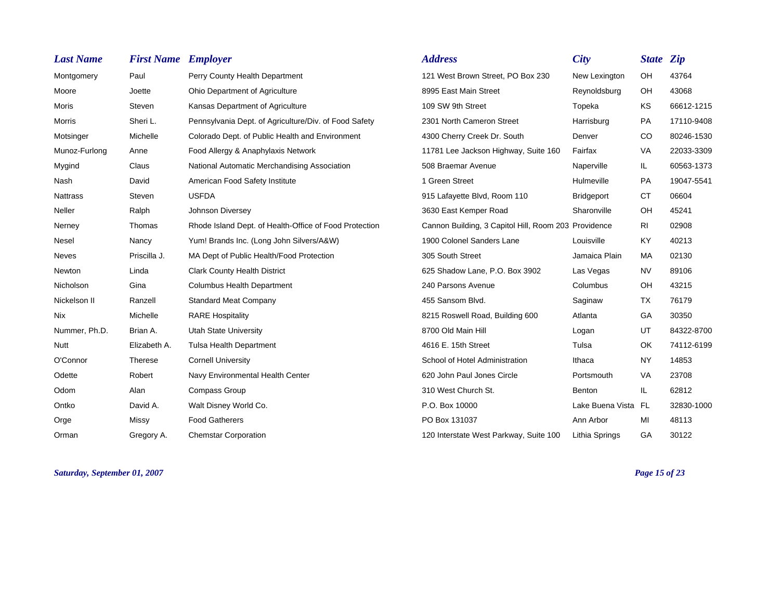| <b>Last Name</b> | <b>First Name Employer</b> |                                                        | <b>Address</b>                                       | City              | <b>State Zip</b> |            |
|------------------|----------------------------|--------------------------------------------------------|------------------------------------------------------|-------------------|------------------|------------|
| Montgomery       | Paul                       | Perry County Health Department                         | 121 West Brown Street, PO Box 230                    | New Lexington     | <b>OH</b>        | 43764      |
| Moore            | Joette                     | Ohio Department of Agriculture                         | 8995 East Main Street                                | Reynoldsburg      | OH               | 43068      |
| <b>Moris</b>     | Steven                     | Kansas Department of Agriculture                       | 109 SW 9th Street                                    | Topeka            | <b>KS</b>        | 66612-1215 |
| Morris           | Sheri L.                   | Pennsylvania Dept. of Agriculture/Div. of Food Safety  | 2301 North Cameron Street                            | Harrisburg        | PA               | 17110-9408 |
| Motsinger        | Michelle                   | Colorado Dept. of Public Health and Environment        | 4300 Cherry Creek Dr. South                          | Denver            | <sub>CO</sub>    | 80246-1530 |
| Munoz-Furlong    | Anne                       | Food Allergy & Anaphylaxis Network                     | 11781 Lee Jackson Highway, Suite 160                 | Fairfax           | VA               | 22033-3309 |
| Mygind           | Claus                      | National Automatic Merchandising Association           | 508 Braemar Avenue                                   | Naperville        | IL.              | 60563-1373 |
| Nash             | David                      | American Food Safety Institute                         | 1 Green Street                                       | Hulmeville        | <b>PA</b>        | 19047-5541 |
| <b>Nattrass</b>  | Steven                     | <b>USFDA</b>                                           | 915 Lafayette Blvd, Room 110                         | <b>Bridgeport</b> | <b>CT</b>        | 06604      |
| Neller           | Ralph                      | Johnson Diversey                                       | 3630 East Kemper Road                                | Sharonville       | OH               | 45241      |
| Nerney           | Thomas                     | Rhode Island Dept. of Health-Office of Food Protection | Cannon Building, 3 Capitol Hill, Room 203 Providence |                   | RI               | 02908      |
| Nesel            | Nancy                      | Yum! Brands Inc. (Long John Silvers/A&W)               | 1900 Colonel Sanders Lane                            | Louisville        | <b>KY</b>        | 40213      |
| <b>Neves</b>     | Priscilla J.               | MA Dept of Public Health/Food Protection               | 305 South Street                                     | Jamaica Plain     | MA               | 02130      |
| Newton           | Linda                      | <b>Clark County Health District</b>                    | 625 Shadow Lane, P.O. Box 3902                       | Las Vegas         | <b>NV</b>        | 89106      |
| Nicholson        | Gina                       | <b>Columbus Health Department</b>                      | 240 Parsons Avenue                                   | Columbus          | OH               | 43215      |
| Nickelson II     | Ranzell                    | <b>Standard Meat Company</b>                           | 455 Sansom Blvd.                                     | Saginaw           | <b>TX</b>        | 76179      |
| Nix              | Michelle                   | <b>RARE Hospitality</b>                                | 8215 Roswell Road, Building 600                      | Atlanta           | GA               | 30350      |
| Nummer, Ph.D.    | Brian A.                   | <b>Utah State University</b>                           | 8700 Old Main Hill                                   | Logan             | UT               | 84322-8700 |
| <b>Nutt</b>      | Elizabeth A.               | <b>Tulsa Health Department</b>                         | 4616 E. 15th Street                                  | Tulsa             | OK               | 74112-6199 |
| O'Connor         | Therese                    | <b>Cornell University</b>                              | School of Hotel Administration                       | Ithaca            | <b>NY</b>        | 14853      |
| Odette           | Robert                     | Navy Environmental Health Center                       | 620 John Paul Jones Circle                           | Portsmouth        | <b>VA</b>        | 23708      |
| Odom             | Alan                       | <b>Compass Group</b>                                   | 310 West Church St.                                  | Benton            | IL.              | 62812      |
| Ontko            | David A.                   | Walt Disney World Co.                                  | P.O. Box 10000                                       | Lake Buena Vista  | FL.              | 32830-1000 |
| Orge             | Missy                      | <b>Food Gatherers</b>                                  | PO Box 131037                                        | Ann Arbor         | MI               | 48113      |
| Orman            | Gregory A.                 | <b>Chemstar Corporation</b>                            | 120 Interstate West Parkway, Suite 100               | Lithia Springs    | GA               | 30122      |

*Saturday, September 01, 2007 Page 15 of 23*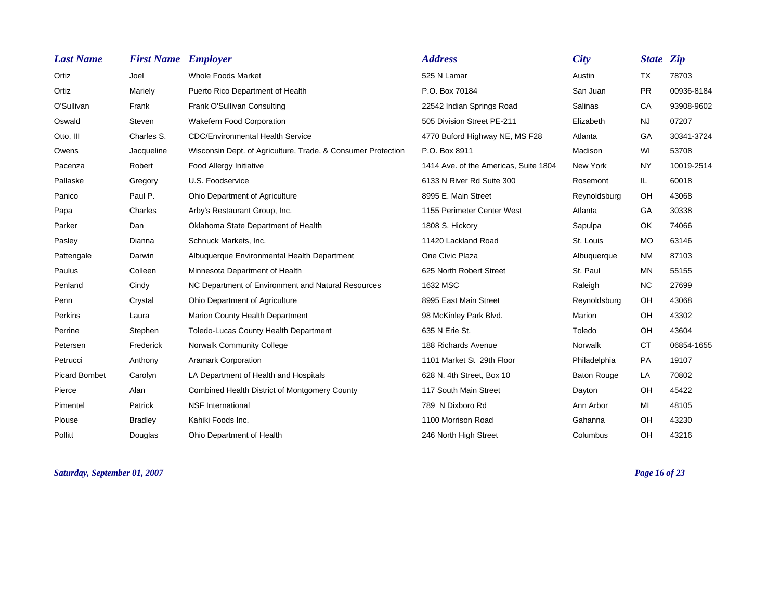| <b>Last Name</b>     | <b>First Name Employer</b> |                                                              | <b>Address</b>                        | <b>City</b>        | <b>State Zip</b> |            |
|----------------------|----------------------------|--------------------------------------------------------------|---------------------------------------|--------------------|------------------|------------|
| Ortiz                | Joel                       | <b>Whole Foods Market</b>                                    | 525 N Lamar                           | Austin             | <b>TX</b>        | 78703      |
| Ortiz                | Mariely                    | Puerto Rico Department of Health                             | P.O. Box 70184                        | San Juan           | <b>PR</b>        | 00936-8184 |
| O'Sullivan           | Frank                      | Frank O'Sullivan Consulting                                  | 22542 Indian Springs Road             | Salinas            | CA               | 93908-9602 |
| Oswald               | Steven                     | <b>Wakefern Food Corporation</b>                             | 505 Division Street PE-211            | Elizabeth          | NJ.              | 07207      |
| Otto, III            | Charles S.                 | <b>CDC/Environmental Health Service</b>                      | 4770 Buford Highway NE, MS F28        | Atlanta            | GA               | 30341-3724 |
| Owens                | Jacqueline                 | Wisconsin Dept. of Agriculture, Trade, & Consumer Protection | P.O. Box 8911                         | Madison            | WI               | 53708      |
| Pacenza              | Robert                     | Food Allergy Initiative                                      | 1414 Ave. of the Americas, Suite 1804 | New York           | NY.              | 10019-2514 |
| Pallaske             | Gregory                    | U.S. Foodservice                                             | 6133 N River Rd Suite 300             | Rosemont           | IL.              | 60018      |
| Panico               | Paul P.                    | Ohio Department of Agriculture                               | 8995 E. Main Street                   | Reynoldsburg       | OH               | 43068      |
| Papa                 | Charles                    | Arby's Restaurant Group, Inc.                                | 1155 Perimeter Center West            | Atlanta            | GA               | 30338      |
| Parker               | Dan                        | Oklahoma State Department of Health                          | 1808 S. Hickory                       | Sapulpa            | OK.              | 74066      |
| Pasley               | Dianna                     | Schnuck Markets, Inc.                                        | 11420 Lackland Road                   | St. Louis          | <b>MO</b>        | 63146      |
| Pattengale           | Darwin                     | Albuquerque Environmental Health Department                  | One Civic Plaza                       | Albuquerque        | <b>NM</b>        | 87103      |
| Paulus               | Colleen                    | Minnesota Department of Health                               | 625 North Robert Street               | St. Paul           | <b>MN</b>        | 55155      |
| Penland              | Cindy                      | NC Department of Environment and Natural Resources           | 1632 MSC                              | Raleigh            | <b>NC</b>        | 27699      |
| Penn                 | Crystal                    | Ohio Department of Agriculture                               | 8995 East Main Street                 | Reynoldsburg       | <b>OH</b>        | 43068      |
| Perkins              | Laura                      | Marion County Health Department                              | 98 McKinley Park Blvd.                | <b>Marion</b>      | OH               | 43302      |
| Perrine              | Stephen                    | Toledo-Lucas County Health Department                        | 635 N Erie St.                        | Toledo             | OH               | 43604      |
| Petersen             | Frederick                  | Norwalk Community College                                    | 188 Richards Avenue                   | Norwalk            | <b>CT</b>        | 06854-1655 |
| Petrucci             | Anthony                    | <b>Aramark Corporation</b>                                   | 1101 Market St 29th Floor             | Philadelphia       | <b>PA</b>        | 19107      |
| <b>Picard Bombet</b> | Carolyn                    | LA Department of Health and Hospitals                        | 628 N. 4th Street, Box 10             | <b>Baton Rouge</b> | LA               | 70802      |
| Pierce               | Alan                       | Combined Health District of Montgomery County                | 117 South Main Street                 | Dayton             | OH               | 45422      |
| Pimentel             | Patrick                    | <b>NSF</b> International                                     | 789 N Dixboro Rd                      | Ann Arbor          | MI               | 48105      |
| Plouse               | <b>Bradley</b>             | Kahiki Foods Inc.                                            | 1100 Morrison Road                    | Gahanna            | OH               | 43230      |
| Pollitt              | Douglas                    | Ohio Department of Health                                    | 246 North High Street                 | Columbus           | OH               | 43216      |

*Saturday, September 01, 2007 Page 16 of 23*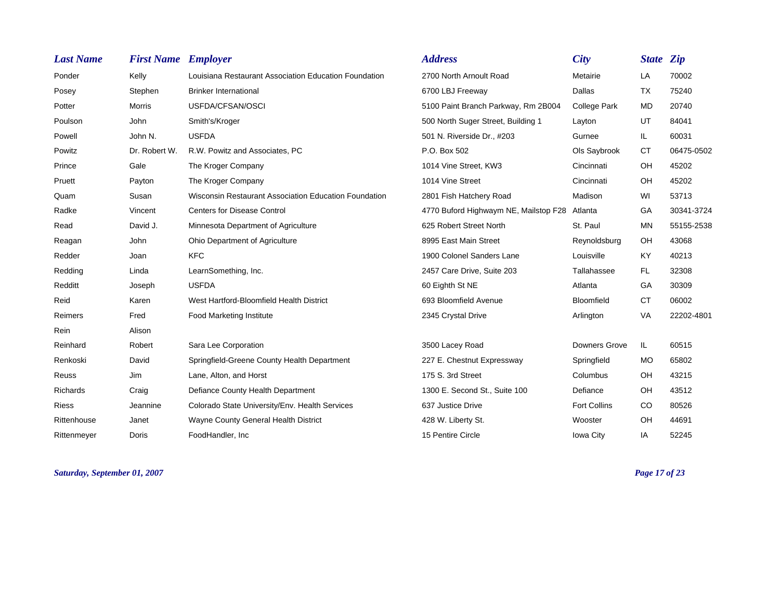| <b>Last Name</b> | <b>First Name Employer</b> |                                                       | <b>Address</b>                                | <b>City</b>         | <b>State Zip</b> |            |
|------------------|----------------------------|-------------------------------------------------------|-----------------------------------------------|---------------------|------------------|------------|
| Ponder           | Kelly                      | Louisiana Restaurant Association Education Foundation | 2700 North Arnoult Road                       | Metairie            | LA               | 70002      |
| Posey            | Stephen                    | <b>Brinker International</b>                          | 6700 LBJ Freeway                              | Dallas              | <b>TX</b>        | 75240      |
| Potter           | <b>Morris</b>              | USFDA/CFSAN/OSCI                                      | 5100 Paint Branch Parkway, Rm 2B004           | College Park        | <b>MD</b>        | 20740      |
| Poulson          | John                       | Smith's/Kroger                                        | 500 North Suger Street, Building 1            | Layton              | UT               | 84041      |
| Powell           | John N.                    | <b>USFDA</b>                                          | 501 N. Riverside Dr., #203                    | Gurnee              | IL.              | 60031      |
| Powitz           | Dr. Robert W.              | R.W. Powitz and Associates, PC                        | P.O. Box 502                                  | Ols Saybrook        | <b>CT</b>        | 06475-0502 |
| Prince           | Gale                       | The Kroger Company                                    | 1014 Vine Street, KW3                         | Cincinnati          | OH               | 45202      |
| Pruett           | Payton                     | The Kroger Company                                    | 1014 Vine Street                              | Cincinnati          | OH               | 45202      |
| Quam             | Susan                      | Wisconsin Restaurant Association Education Foundation | 2801 Fish Hatchery Road                       | Madison             | WI               | 53713      |
| Radke            | Vincent                    | <b>Centers for Disease Control</b>                    | 4770 Buford Highwaym NE, Mailstop F28 Atlanta |                     | <b>GA</b>        | 30341-3724 |
| Read             | David J.                   | Minnesota Department of Agriculture                   | 625 Robert Street North                       | St. Paul            | <b>MN</b>        | 55155-2538 |
| Reagan           | John                       | Ohio Department of Agriculture                        | 8995 East Main Street                         | Reynoldsburg        | OH               | 43068      |
| Redder           | Joan                       | <b>KFC</b>                                            | 1900 Colonel Sanders Lane                     | Louisville          | <b>KY</b>        | 40213      |
| Redding          | Linda                      | LearnSomething, Inc.                                  | 2457 Care Drive, Suite 203                    | Tallahassee         | <b>FL</b>        | 32308      |
| Redditt          | Joseph                     | <b>USFDA</b>                                          | 60 Eighth St NE                               | Atlanta             | GA               | 30309      |
| Reid             | Karen                      | West Hartford-Bloomfield Health District              | 693 Bloomfield Avenue                         | <b>Bloomfield</b>   | <b>CT</b>        | 06002      |
| Reimers          | Fred                       | <b>Food Marketing Institute</b>                       | 2345 Crystal Drive                            | Arlington           | <b>VA</b>        | 22202-4801 |
| Rein             | Alison                     |                                                       |                                               |                     |                  |            |
| Reinhard         | Robert                     | Sara Lee Corporation                                  | 3500 Lacey Road                               | Downers Grove       | IL.              | 60515      |
| Renkoski         | David                      | Springfield-Greene County Health Department           | 227 E. Chestnut Expressway                    | Springfield         | <b>MO</b>        | 65802      |
| Reuss            | Jim                        | Lane, Alton, and Horst                                | 175 S. 3rd Street                             | Columbus            | OH               | 43215      |
| Richards         | Craig                      | Defiance County Health Department                     | 1300 E. Second St., Suite 100                 | Defiance            | OH               | 43512      |
| <b>Riess</b>     | Jeannine                   | Colorado State University/Env. Health Services        | 637 Justice Drive                             | <b>Fort Collins</b> | <b>CO</b>        | 80526      |
| Rittenhouse      | Janet                      | Wayne County General Health District                  | 428 W. Liberty St.                            | Wooster             | OH               | 44691      |
| Rittenmeyer      | Doris                      | FoodHandler, Inc                                      | 15 Pentire Circle                             | Iowa City           | IA               | 52245      |

*Saturday, September 01, 2007 Page 17 of 23*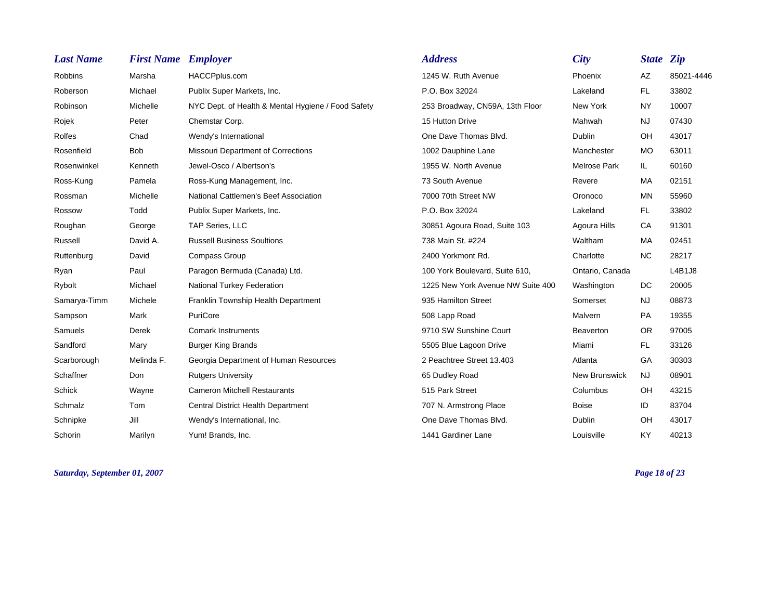| <b>Last Name</b> | <b>First Name Employer</b> |                                                    | <b>Address</b>                    | <b>City</b>          | <b>State Zip</b> |            |
|------------------|----------------------------|----------------------------------------------------|-----------------------------------|----------------------|------------------|------------|
| Robbins          | Marsha                     | HACCPplus.com                                      | 1245 W. Ruth Avenue               | Phoenix              | AZ               | 85021-4446 |
| Roberson         | Michael                    | Publix Super Markets, Inc.                         | P.O. Box 32024                    | Lakeland             | FL.              | 33802      |
| Robinson         | Michelle                   | NYC Dept. of Health & Mental Hygiene / Food Safety | 253 Broadway, CN59A, 13th Floor   | New York             | <b>NY</b>        | 10007      |
| Rojek            | Peter                      | Chemstar Corp.                                     | 15 Hutton Drive                   | Mahwah               | <b>NJ</b>        | 07430      |
| <b>Rolfes</b>    | Chad                       | Wendy's International                              | One Dave Thomas Blvd.             | <b>Dublin</b>        | OH               | 43017      |
| Rosenfield       | <b>Bob</b>                 | Missouri Department of Corrections                 | 1002 Dauphine Lane                | Manchester           | <b>MO</b>        | 63011      |
| Rosenwinkel      | Kenneth                    | Jewel-Osco / Albertson's                           | 1955 W. North Avenue              | Melrose Park         | IL.              | 60160      |
| Ross-Kung        | Pamela                     | Ross-Kung Management, Inc.                         | 73 South Avenue                   | Revere               | <b>MA</b>        | 02151      |
| Rossman          | Michelle                   | National Cattlemen's Beef Association              | 7000 70th Street NW               | Oronoco              | <b>MN</b>        | 55960      |
| Rossow           | Todd                       | Publix Super Markets, Inc.                         | P.O. Box 32024                    | Lakeland             | FL.              | 33802      |
| Roughan          | George                     | TAP Series, LLC                                    | 30851 Agoura Road, Suite 103      | Agoura Hills         | CA               | 91301      |
| Russell          | David A.                   | <b>Russell Business Soultions</b>                  | 738 Main St. #224                 | Waltham              | MA               | 02451      |
| Ruttenburg       | David                      | Compass Group                                      | 2400 Yorkmont Rd.                 | Charlotte            | <b>NC</b>        | 28217      |
| Ryan             | Paul                       | Paragon Bermuda (Canada) Ltd.                      | 100 York Boulevard, Suite 610,    | Ontario, Canada      |                  | L4B1J8     |
| Rybolt           | Michael                    | <b>National Turkey Federation</b>                  | 1225 New York Avenue NW Suite 400 | Washington           | DC.              | 20005      |
| Samarya-Timm     | Michele                    | Franklin Township Health Department                | 935 Hamilton Street               | Somerset             | <b>NJ</b>        | 08873      |
| Sampson          | Mark                       | PuriCore                                           | 508 Lapp Road                     | Malvern              | <b>PA</b>        | 19355      |
| Samuels          | Derek                      | <b>Comark Instruments</b>                          | 9710 SW Sunshine Court            | <b>Beaverton</b>     | <b>OR</b>        | 97005      |
| Sandford         | Mary                       | <b>Burger King Brands</b>                          | 5505 Blue Lagoon Drive            | Miami                | FL.              | 33126      |
| Scarborough      | Melinda F.                 | Georgia Department of Human Resources              | 2 Peachtree Street 13.403         | Atlanta              | GA               | 30303      |
| Schaffner        | Don                        | <b>Rutgers University</b>                          | 65 Dudley Road                    | <b>New Brunswick</b> | <b>NJ</b>        | 08901      |
| <b>Schick</b>    | Wayne                      | <b>Cameron Mitchell Restaurants</b>                | 515 Park Street                   | Columbus             | OH.              | 43215      |
| Schmalz          | Tom                        | Central District Health Department                 | 707 N. Armstrong Place            | <b>Boise</b>         | ID               | 83704      |
| Schnipke         | Jill                       | Wendy's International, Inc.                        | One Dave Thomas Blvd.             | <b>Dublin</b>        | OH               | 43017      |
| Schorin          | Marilyn                    | Yum! Brands, Inc.                                  | 1441 Gardiner Lane                | Louisville           | <b>KY</b>        | 40213      |

*Saturday, September 01, 2007 Page 18 of 23*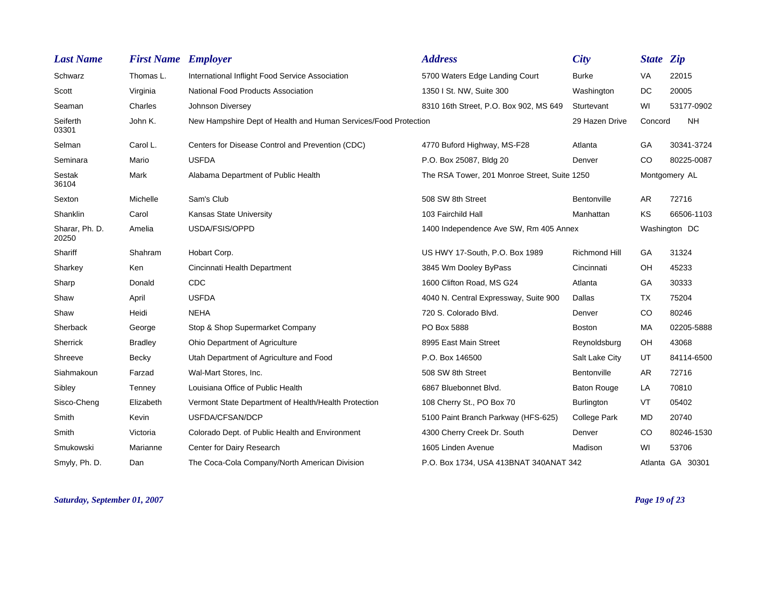| <b>Last Name</b>        | <b>First Name Employer</b> |                                                                 | <b>Address</b>                               | City           | <b>State Zip</b> |                  |
|-------------------------|----------------------------|-----------------------------------------------------------------|----------------------------------------------|----------------|------------------|------------------|
| Schwarz                 | Thomas L.                  | International Inflight Food Service Association                 | 5700 Waters Edge Landing Court               | Burke          | <b>VA</b>        | 22015            |
| Scott                   | Virginia                   | National Food Products Association                              | 1350 I St. NW, Suite 300                     | Washington     | <b>DC</b>        | 20005            |
| Seaman                  | Charles                    | Johnson Diversey                                                | 8310 16th Street, P.O. Box 902, MS 649       | Sturtevant     | WI               | 53177-0902       |
| Seiferth<br>03301       | John K.                    | New Hampshire Dept of Health and Human Services/Food Protection |                                              | 29 Hazen Drive | Concord          | <b>NH</b>        |
| Selman                  | Carol L.                   | Centers for Disease Control and Prevention (CDC)                | 4770 Buford Highway, MS-F28                  | Atlanta        | GA               | 30341-3724       |
| Seminara                | Mario                      | <b>USFDA</b>                                                    | P.O. Box 25087, Bldg 20                      | Denver         | CO.              | 80225-0087       |
| Sestak<br>36104         | Mark                       | Alabama Department of Public Health                             | The RSA Tower, 201 Monroe Street, Suite 1250 |                |                  | Montgomery AL    |
| Sexton                  | Michelle                   | Sam's Club                                                      | 508 SW 8th Street                            | Bentonville    | AR.              | 72716            |
| Shanklin                | Carol                      | Kansas State University                                         | 103 Fairchild Hall                           | Manhattan      | KS               | 66506-1103       |
| Sharar, Ph. D.<br>20250 | Amelia                     | USDA/FSIS/OPPD                                                  | 1400 Independence Ave SW, Rm 405 Annex       |                |                  | Washington DC    |
| Shariff                 | Shahram                    | Hobart Corp.                                                    | US HWY 17-South, P.O. Box 1989               | Richmond Hill  | GA               | 31324            |
| Sharkey                 | Ken                        | Cincinnati Health Department                                    | 3845 Wm Dooley ByPass                        | Cincinnati     | OH               | 45233            |
| Sharp                   | Donald                     | <b>CDC</b>                                                      | 1600 Clifton Road, MS G24                    | Atlanta        | GA               | 30333            |
| Shaw                    | April                      | <b>USFDA</b>                                                    | 4040 N. Central Expressway, Suite 900        | Dallas         | TX               | 75204            |
| Shaw                    | Heidi                      | <b>NEHA</b>                                                     | 720 S. Colorado Blvd.                        | Denver         | CO               | 80246            |
| Sherback                | George                     | Stop & Shop Supermarket Company                                 | PO Box 5888                                  | <b>Boston</b>  | МA               | 02205-5888       |
| Sherrick                | <b>Bradley</b>             | Ohio Department of Agriculture                                  | 8995 East Main Street                        | Reynoldsburg   | OH               | 43068            |
| Shreeve                 | Becky                      | Utah Department of Agriculture and Food                         | P.O. Box 146500                              | Salt Lake City | UT               | 84114-6500       |
| Siahmakoun              | Farzad                     | Wal-Mart Stores, Inc.                                           | 508 SW 8th Street                            | Bentonville    | AR               | 72716            |
| Sibley                  | Tenney                     | Louisiana Office of Public Health                               | 6867 Bluebonnet Blvd.                        | Baton Rouge    | LA               | 70810            |
| Sisco-Cheng             | Elizabeth                  | Vermont State Department of Health/Health Protection            | 108 Cherry St., PO Box 70                    | Burlington     | VT               | 05402            |
| Smith                   | Kevin                      | USFDA/CFSAN/DCP                                                 | 5100 Paint Branch Parkway (HFS-625)          | College Park   | <b>MD</b>        | 20740            |
| Smith                   | Victoria                   | Colorado Dept. of Public Health and Environment                 | 4300 Cherry Creek Dr. South                  | Denver         | CO               | 80246-1530       |
| Smukowski               | Marianne                   | Center for Dairy Research                                       | 1605 Linden Avenue                           | Madison        | WI               | 53706            |
| Smyly, Ph. D.           | Dan                        | The Coca-Cola Company/North American Division                   | P.O. Box 1734, USA 413BNAT 340ANAT 342       |                |                  | Atlanta GA 30301 |

*Saturday, September 01, 2007 Page 19 of 23*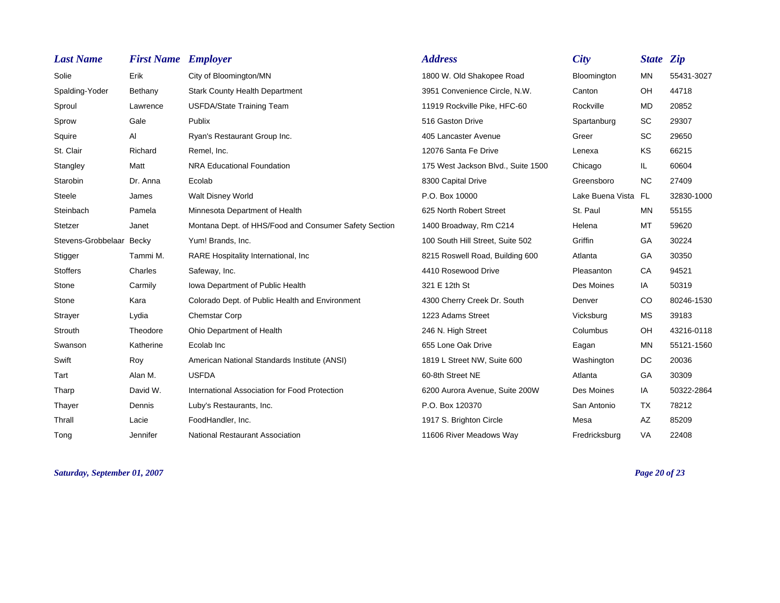| <b>Last Name</b>   | <b>First Name Employer</b> |                                                       | <b>Address</b>                     | <b>City</b>         | <b>State Zip</b> |            |
|--------------------|----------------------------|-------------------------------------------------------|------------------------------------|---------------------|------------------|------------|
| Solie              | Erik                       | City of Bloomington/MN                                | 1800 W. Old Shakopee Road          | Bloomington         | MN               | 55431-3027 |
| Spalding-Yoder     | Bethany                    | <b>Stark County Health Department</b>                 | 3951 Convenience Circle, N.W.      | Canton              | OH               | 44718      |
| Sproul             | Lawrence                   | <b>USFDA/State Training Team</b>                      | 11919 Rockville Pike, HFC-60       | Rockville           | MD               | 20852      |
| Sprow              | Gale                       | Publix                                                | 516 Gaston Drive                   | Spartanburg         | SC               | 29307      |
| Squire             | Al                         | Ryan's Restaurant Group Inc.                          | 405 Lancaster Avenue               | Greer               | <b>SC</b>        | 29650      |
| St. Clair          | Richard                    | Remel, Inc.                                           | 12076 Santa Fe Drive               | Lenexa              | KS               | 66215      |
| Stangley           | Matt                       | NRA Educational Foundation                            | 175 West Jackson Blvd., Suite 1500 | Chicago             | IL.              | 60604      |
| Starobin           | Dr. Anna                   | Ecolab                                                | 8300 Capital Drive                 | Greensboro          | <b>NC</b>        | 27409      |
| Steele             | James                      | Walt Disney World                                     | P.O. Box 10000                     | Lake Buena Vista FL |                  | 32830-1000 |
| Steinbach          | Pamela                     | Minnesota Department of Health                        | 625 North Robert Street            | St. Paul            | <b>MN</b>        | 55155      |
| Stetzer            | Janet                      | Montana Dept. of HHS/Food and Consumer Safety Section | 1400 Broadway, Rm C214             | Helena              | МT               | 59620      |
| Stevens-Grobbelaar | Becky                      | Yum! Brands, Inc.                                     | 100 South Hill Street, Suite 502   | Griffin             | GA               | 30224      |
| Stigger            | Tammi M.                   | RARE Hospitality International, Inc.                  | 8215 Roswell Road, Building 600    | Atlanta             | GA               | 30350      |
| <b>Stoffers</b>    | Charles                    | Safeway, Inc.                                         | 4410 Rosewood Drive                | Pleasanton          | CA               | 94521      |
| Stone              | Carmily                    | Iowa Department of Public Health                      | 321 E 12th St                      | Des Moines          | IA               | 50319      |
| Stone              | Kara                       | Colorado Dept. of Public Health and Environment       | 4300 Cherry Creek Dr. South        | Denver              | CO               | 80246-1530 |
| Strayer            | Lydia                      | <b>Chemstar Corp</b>                                  | 1223 Adams Street                  | Vicksburg           | <b>MS</b>        | 39183      |
| Strouth            | Theodore                   | Ohio Department of Health                             | 246 N. High Street                 | Columbus            | OH               | 43216-0118 |
| Swanson            | Katherine                  | Ecolab Inc                                            | 655 Lone Oak Drive                 | Eagan               | MN               | 55121-1560 |
| Swift              | Roy                        | American National Standards Institute (ANSI)          | 1819 L Street NW, Suite 600        | Washington          | DC               | 20036      |
| Tart               | Alan M.                    | <b>USFDA</b>                                          | 60-8th Street NE                   | Atlanta             | GA               | 30309      |
| Tharp              | David W.                   | International Association for Food Protection         | 6200 Aurora Avenue, Suite 200W     | Des Moines          | IA               | 50322-2864 |
| Thayer             | Dennis                     | Luby's Restaurants, Inc.                              | P.O. Box 120370                    | San Antonio         | <b>TX</b>        | 78212      |
| Thrall             | Lacie                      | FoodHandler, Inc.                                     | 1917 S. Brighton Circle            | Mesa                | AZ               | 85209      |
| Tong               | Jennifer                   | <b>National Restaurant Association</b>                | 11606 River Meadows Way            | Fredricksburg       | <b>VA</b>        | 22408      |

*Saturday, September 01, 2007 Page 20 of 23*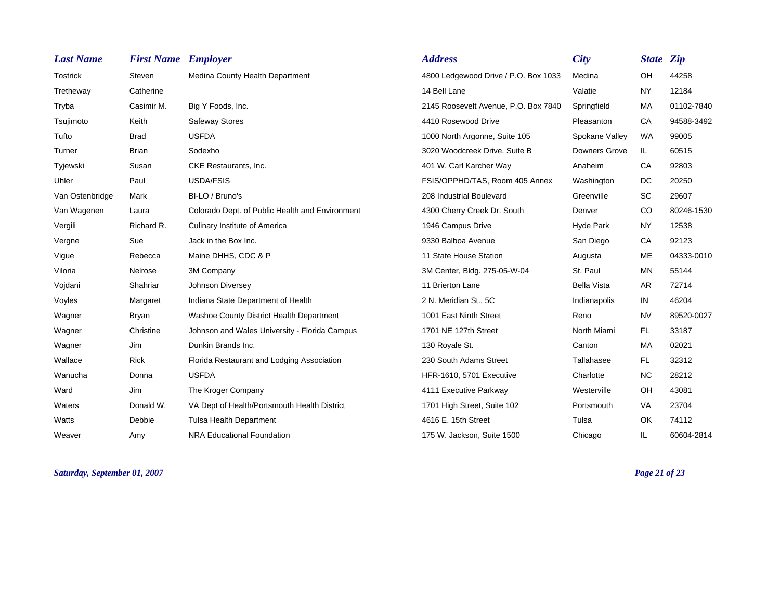| <b>Last Name</b> | <b>First Name Employer</b> |                                                 | <b>Address</b>                       | <b>City</b>          | <b>State Zip</b> |            |
|------------------|----------------------------|-------------------------------------------------|--------------------------------------|----------------------|------------------|------------|
| Tostrick         | Steven                     | Medina County Health Department                 | 4800 Ledgewood Drive / P.O. Box 1033 | Medina               | OH               | 44258      |
| Tretheway        | Catherine                  |                                                 | 14 Bell Lane                         | Valatie              | <b>NY</b>        | 12184      |
| Tryba            | Casimir M.                 | Big Y Foods, Inc.                               | 2145 Roosevelt Avenue, P.O. Box 7840 | Springfield          | MA               | 01102-7840 |
| Tsujimoto        | Keith                      | Safeway Stores                                  | 4410 Rosewood Drive                  | Pleasanton           | <b>CA</b>        | 94588-3492 |
| Tufto            | <b>Brad</b>                | <b>USFDA</b>                                    | 1000 North Argonne, Suite 105        | Spokane Valley       | WA               | 99005      |
| Turner           | <b>Brian</b>               | Sodexho                                         | 3020 Woodcreek Drive, Suite B        | <b>Downers Grove</b> | IL.              | 60515      |
| Tyjewski         | Susan                      | CKE Restaurants, Inc.                           | 401 W. Carl Karcher Way              | Anaheim              | CA               | 92803      |
| Uhler            | Paul                       | <b>USDA/FSIS</b>                                | FSIS/OPPHD/TAS, Room 405 Annex       | Washington           | DC.              | 20250      |
| Van Ostenbridge  | Mark                       | BI-LO / Bruno's                                 | 208 Industrial Boulevard             | Greenville           | <b>SC</b>        | 29607      |
| Van Wagenen      | Laura                      | Colorado Dept. of Public Health and Environment | 4300 Cherry Creek Dr. South          | Denver               | CO               | 80246-1530 |
| Vergili          | Richard R.                 | <b>Culinary Institute of America</b>            | 1946 Campus Drive                    | Hyde Park            | <b>NY</b>        | 12538      |
| Vergne           | Sue                        | Jack in the Box Inc.                            | 9330 Balboa Avenue                   | San Diego            | <b>CA</b>        | 92123      |
| Vigue            | Rebecca                    | Maine DHHS, CDC & P                             | 11 State House Station               | Augusta              | <b>ME</b>        | 04333-0010 |
| Viloria          | Nelrose                    | 3M Company                                      | 3M Center, Bldg. 275-05-W-04         | St. Paul             | <b>MN</b>        | 55144      |
| Vojdani          | Shahriar                   | Johnson Diversey                                | 11 Brierton Lane                     | <b>Bella Vista</b>   | AR               | 72714      |
| Voyles           | Margaret                   | Indiana State Department of Health              | 2 N. Meridian St., 5C                | Indianapolis         | IN               | 46204      |
| Wagner           | Bryan                      | Washoe County District Health Department        | 1001 East Ninth Street               | Reno                 | <b>NV</b>        | 89520-0027 |
| Wagner           | Christine                  | Johnson and Wales University - Florida Campus   | 1701 NE 127th Street                 | North Miami          | FL.              | 33187      |
| Wagner           | Jim                        | Dunkin Brands Inc.                              | 130 Royale St.                       | Canton               | MA               | 02021      |
| Wallace          | Rick                       | Florida Restaurant and Lodging Association      | 230 South Adams Street               | Tallahasee           | FL.              | 32312      |
| Wanucha          | Donna                      | <b>USFDA</b>                                    | HFR-1610, 5701 Executive             | Charlotte            | NC.              | 28212      |
| Ward             | Jim                        | The Kroger Company                              | 4111 Executive Parkway               | Westerville          | OH               | 43081      |
| Waters           | Donald W.                  | VA Dept of Health/Portsmouth Health District    | 1701 High Street, Suite 102          | Portsmouth           | <b>VA</b>        | 23704      |
| Watts            | Debbie                     | <b>Tulsa Health Department</b>                  | 4616 E. 15th Street                  | Tulsa                | <b>OK</b>        | 74112      |
| Weaver           | Amy                        | NRA Educational Foundation                      | 175 W. Jackson, Suite 1500           | Chicago              | IL.              | 60604-2814 |

*Saturday, September 01, 2007 Page 21 of 23*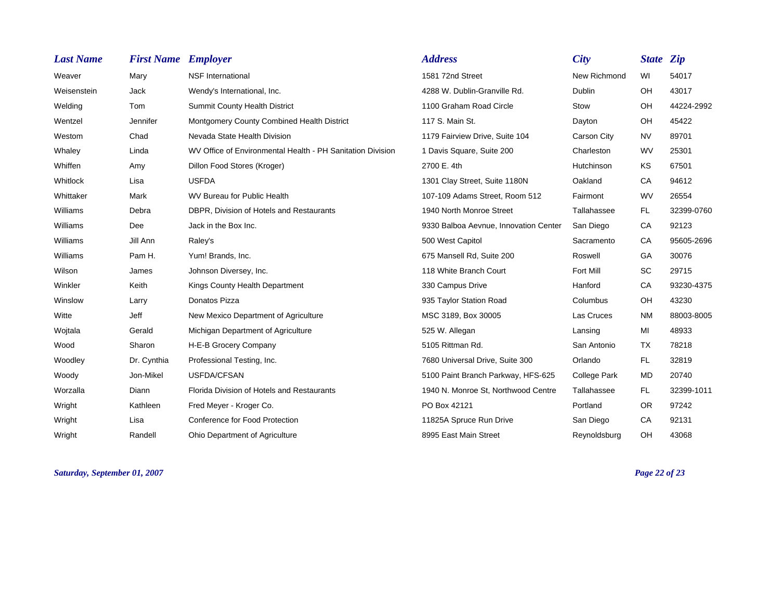| <b>Last Name</b> | <b>First Name Employer</b> |                                                            | <b>Address</b>                        | <b>City</b>         | <b>State Zip</b> |            |
|------------------|----------------------------|------------------------------------------------------------|---------------------------------------|---------------------|------------------|------------|
| Weaver           | Mary                       | <b>NSF</b> International                                   | 1581 72nd Street                      | New Richmond        | WI               | 54017      |
| Weisenstein      | Jack                       | Wendy's International, Inc.                                | 4288 W. Dublin-Granville Rd.          | Dublin              | OH               | 43017      |
| Welding          | Tom                        | <b>Summit County Health District</b>                       | 1100 Graham Road Circle               | Stow                | OH               | 44224-2992 |
| Wentzel          | Jennifer                   | Montgomery County Combined Health District                 | 117 S. Main St.                       | Dayton              | OH               | 45422      |
| Westom           | Chad                       | Nevada State Health Division                               | 1179 Fairview Drive, Suite 104        | Carson City         | <b>NV</b>        | 89701      |
| Whaley           | Linda                      | WV Office of Environmental Health - PH Sanitation Division | 1 Davis Square, Suite 200             | Charleston          | <b>WV</b>        | 25301      |
| Whiffen          | Amy                        | Dillon Food Stores (Kroger)                                | 2700 E. 4th                           | Hutchinson          | KS               | 67501      |
| Whitlock         | Lisa                       | <b>USFDA</b>                                               | 1301 Clay Street, Suite 1180N         | Oakland             | CA               | 94612      |
| Whittaker        | Mark                       | WV Bureau for Public Health                                | 107-109 Adams Street, Room 512        | Fairmont            | <b>WV</b>        | 26554      |
| Williams         | Debra                      | DBPR. Division of Hotels and Restaurants                   | 1940 North Monroe Street              | Tallahassee         | FL.              | 32399-0760 |
| Williams         | Dee                        | Jack in the Box Inc.                                       | 9330 Balboa Aevnue, Innovation Center | San Diego           | CA               | 92123      |
| Williams         | Jill Ann                   | Raley's                                                    | 500 West Capitol                      | Sacramento          | CA               | 95605-2696 |
| Williams         | Pam H.                     | Yum! Brands, Inc.                                          | 675 Mansell Rd, Suite 200             | Roswell             | GA               | 30076      |
| Wilson           | James                      | Johnson Diversey, Inc.                                     | 118 White Branch Court                | Fort Mill           | <b>SC</b>        | 29715      |
| Winkler          | Keith                      | Kings County Health Department                             | 330 Campus Drive                      | Hanford             | CA               | 93230-4375 |
| Winslow          | Larry                      | Donatos Pizza                                              | 935 Taylor Station Road               | Columbus            | OH               | 43230      |
| Witte            | Jeff                       | New Mexico Department of Agriculture                       | MSC 3189, Box 30005                   | Las Cruces          | <b>NM</b>        | 88003-8005 |
| Wojtala          | Gerald                     | Michigan Department of Agriculture                         | 525 W. Allegan                        | Lansing             | MI               | 48933      |
| Wood             | Sharon                     | H-E-B Grocery Company                                      | 5105 Rittman Rd.                      | San Antonio         | TX               | 78218      |
| Woodley          | Dr. Cynthia                | Professional Testing, Inc.                                 | 7680 Universal Drive, Suite 300       | Orlando             | FL.              | 32819      |
| Woody            | Jon-Mikel                  | USFDA/CFSAN                                                | 5100 Paint Branch Parkway, HFS-625    | <b>College Park</b> | <b>MD</b>        | 20740      |
| Worzalla         | Diann                      | Florida Division of Hotels and Restaurants                 | 1940 N. Monroe St, Northwood Centre   | Tallahassee         | <b>FL</b>        | 32399-1011 |
| Wright           | Kathleen                   | Fred Meyer - Kroger Co.                                    | PO Box 42121                          | Portland            | <b>OR</b>        | 97242      |
| Wright           | Lisa                       | <b>Conference for Food Protection</b>                      | 11825A Spruce Run Drive               | San Diego           | CA               | 92131      |
| Wright           | Randell                    | Ohio Department of Agriculture                             | 8995 East Main Street                 | Reynoldsburg        | OH               | 43068      |

*Saturday, September 01, 2007 Page 22 of 23*